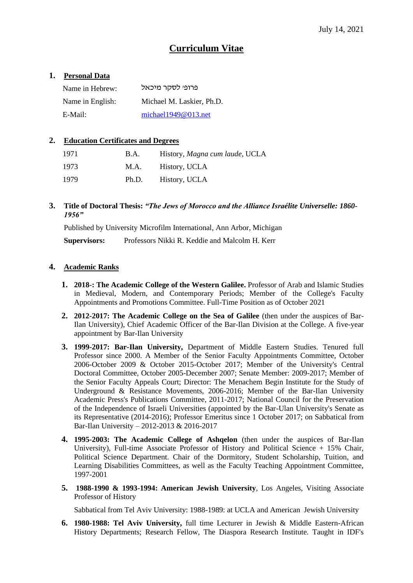# **Curriculum Vitae**

# **1. Personal Data**

| Name in Hebrew:  | פרופי לסקר מיכאל          |
|------------------|---------------------------|
| Name in English: | Michael M. Laskier, Ph.D. |
| E-Mail:          | michael1949 $@013$ .net   |

# **2. Education Certificates and Degrees**

| 1971 | B.A.  | History, Magna cum laude, UCLA |
|------|-------|--------------------------------|
| 1973 | M.A.  | History, UCLA                  |
| 1979 | Ph.D. | History, UCLA                  |

**3. Title of Doctoral Thesis:** *"The Jews of Morocco and the Alliance Israélite Universelle: 1860- 1956"*

Published by University Microfilm International, Ann Arbor, Michigan

**Supervisors:** Professors Nikki R. Keddie and Malcolm H. Kerr

# **4. Academic Ranks**

- **1. 2018-: The Academic College of the Western Galilee.** Professor of Arab and Islamic Studies in Medieval, Modern, and Contemporary Periods; Member of the College's Faculty Appointments and Promotions Committee. Full-Time Position as of October 2021
- **2. 2012-2017: The Academic College on the Sea of Galilee** (then under the auspices of Bar-Ilan University), Chief Academic Officer of the Bar-Ilan Division at the College. A five-year appointment by Bar-Ilan University
- **3. 1999-2017: Bar-Ilan University,** Department of Middle Eastern Studies. Tenured full Professor since 2000. A Member of the Senior Faculty Appointments Committee, October 2006-October 2009 & October 2015-October 2017; Member of the University's Central Doctoral Committee, October 2005-December 2007; Senate Member: 2009-2017; Member of the Senior Faculty Appeals Court; Director: The Menachem Begin Institute for the Study of Underground & Resistance Movements, 2006-2016; Member of the Bar-Ilan University Academic Press's Publications Committee, 2011-2017; National Council for the Preservation of the Independence of Israeli Universities (appointed by the Bar-Ulan University's Senate as its Representative (2014-2016); Professor Emeritus since 1 October 2017; on Sabbatical from Bar-Ilan University – 2012-2013 & 2016-2017
- **4. 1995-2003: The Academic College of Ashqelon** (then under the auspices of Bar-Ilan University), Full-time Associate Professor of History and Political Science + 15% Chair, Political Science Department. Chair of the Dormitory, Student Scholarship, Tuition, and Learning Disabilities Committees, as well as the Faculty Teaching Appointment Committee, 1997-2001
- **5. 1988-1990 & 1993-1994: American Jewish University**, Los Angeles, Visiting Associate Professor of History

Sabbatical from Tel Aviv University: 1988-1989: at UCLA and American Jewish University

**6. 1980-1988: Tel Aviv University,** full time Lecturer in Jewish & Middle Eastern-African History Departments; Research Fellow, The Diaspora Research Institute. Taught in IDF's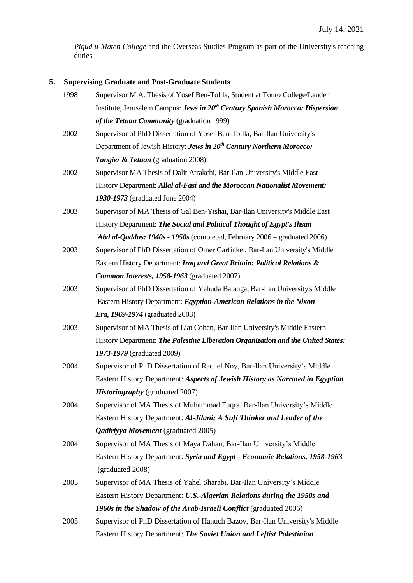*Piqud u-Mateh College* and the Overseas Studies Program as part of the University's teaching duties

# **5. Supervising Graduate and Post-Graduate Students**

| 1998 | Supervisor M.A. Thesis of Yosef Ben-Tolila, Student at Touro College/Lander               |
|------|-------------------------------------------------------------------------------------------|
|      | Institute, Jerusalem Campus: Jews in 20 <sup>th</sup> Century Spanish Morocco: Dispersion |
|      | of the Tetuan Community (graduation 1999)                                                 |
| 2002 | Supervisor of PhD Dissertation of Yosef Ben-Toilla, Bar-Ilan University's                 |
|      | Department of Jewish History: Jews in 20 <sup>th</sup> Century Northern Morocco:          |
|      | <b>Tangier &amp; Tetuan</b> (graduation 2008)                                             |
| 2002 | Supervisor MA Thesis of Dalit Atrakchi, Bar-Ilan University's Middle East                 |
|      | History Department: Allal al-Fasi and the Moroccan Nationalist Movement:                  |
|      | 1930-1973 (graduated June 2004)                                                           |
| 2003 | Supervisor of MA Thesis of Gal Ben-Yishai, Bar-Ilan University's Middle East              |
|      | History Department: The Social and Political Thought of Egypt's Ihsan                     |
|      | 'Abd al-Qaddus: 1940s - 1950s (completed, February 2006 – graduated 2006)                 |
| 2003 | Supervisor of PhD Dissertation of Omer Garfinkel, Bar-Ilan University's Middle            |
|      | Eastern History Department: Iraq and Great Britain: Political Relations &                 |
|      | Common Interests, 1958-1963 (graduated 2007)                                              |
| 2003 | Supervisor of PhD Dissertation of Yehuda Balanga, Bar-Ilan University's Middle            |
|      | Eastern History Department: Egyptian-American Relations in the Nixon                      |
|      | <i>Era, 1969-1974</i> (graduated 2008)                                                    |
| 2003 | Supervisor of MA Thesis of Liat Cohen, Bar-Ilan University's Middle Eastern               |
|      | History Department: The Palestine Liberation Organization and the United States:          |
|      | 1973-1979 (graduated 2009)                                                                |
| 2004 | Supervisor of PhD Dissertation of Rachel Noy, Bar-Ilan University's Middle                |
|      | Eastern History Department: Aspects of Jewish History as Narrated in Egyptian             |
|      | <b>Historiography</b> (graduated 2007)                                                    |
| 2004 | Supervisor of MA Thesis of Muhammad Fuqra, Bar-Ilan University's Middle                   |
|      | Eastern History Department: Al-Jilani: A Sufi Thinker and Leader of the                   |
|      | <b>Qadiriyya Movement</b> (graduated 2005)                                                |
| 2004 | Supervisor of MA Thesis of Maya Dahan, Bar-Ilan University's Middle                       |
|      | Eastern History Department: Syria and Egypt - Economic Relations, 1958-1963               |
|      | (graduated 2008)                                                                          |
| 2005 | Supervisor of MA Thesis of Yahel Sharabi, Bar-Ilan University's Middle                    |
|      | Eastern History Department: U.S.-Algerian Relations during the 1950s and                  |
|      | 1960s in the Shadow of the Arab-Israeli Conflict (graduated 2006)                         |
| 2005 | Supervisor of PhD Dissertation of Hanuch Bazov, Bar-Ilan University's Middle              |
|      | Eastern History Department: The Soviet Union and Leftist Palestinian                      |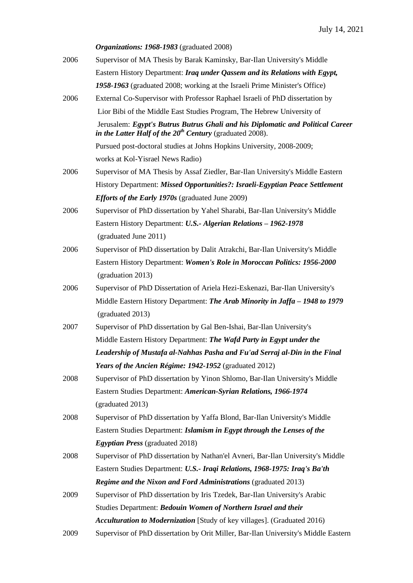|      | Organizations: 1968-1983 (graduated 2008)                                                                                                       |
|------|-------------------------------------------------------------------------------------------------------------------------------------------------|
| 2006 | Supervisor of MA Thesis by Barak Kaminsky, Bar-Ilan University's Middle                                                                         |
|      | Eastern History Department: Iraq under Qassem and its Relations with Egypt,                                                                     |
|      | 1958-1963 (graduated 2008; working at the Israeli Prime Minister's Office)                                                                      |
| 2006 | External Co-Supervisor with Professor Raphael Israeli of PhD dissertation by                                                                    |
|      | Lior Bibi of the Middle East Studies Program, The Hebrew University of                                                                          |
|      | Jerusalem: Egypt's Butrus Butrus Ghali and his Diplomatic and Political Career<br>in the Latter Half of the $20^{th}$ Century (graduated 2008). |
|      | Pursued post-doctoral studies at Johns Hopkins University, 2008-2009;                                                                           |
|      | works at Kol-Yisrael News Radio)                                                                                                                |
| 2006 | Supervisor of MA Thesis by Assaf Ziedler, Bar-Ilan University's Middle Eastern                                                                  |
|      | History Department: Missed Opportunities?: Israeli-Egyptian Peace Settlement                                                                    |
|      | <i>Efforts of the Early 1970s</i> (graduated June 2009)                                                                                         |
| 2006 | Supervisor of PhD dissertation by Yahel Sharabi, Bar-Ilan University's Middle                                                                   |
|      | Eastern History Department: U.S.- Algerian Relations - 1962-1978                                                                                |
|      | (graduated June 2011)                                                                                                                           |
| 2006 | Supervisor of PhD dissertation by Dalit Atrakchi, Bar-Ilan University's Middle                                                                  |
|      | Eastern History Department: Women's Role in Moroccan Politics: 1956-2000                                                                        |
|      | (graduation 2013)                                                                                                                               |
| 2006 | Supervisor of PhD Dissertation of Ariela Hezi-Eskenazi, Bar-Ilan University's                                                                   |
|      | Middle Eastern History Department: The Arab Minority in Jaffa – 1948 to 1979                                                                    |
|      | (graduated 2013)                                                                                                                                |
| 2007 | Supervisor of PhD dissertation by Gal Ben-Ishai, Bar-Ilan University's                                                                          |
|      | Middle Eastern History Department: The Wafd Party in Egypt under the                                                                            |
|      | Leadership of Mustafa al-Nahhas Pasha and Fu'ad Serraj al-Din in the Final                                                                      |
|      | Years of the Ancien Régime: 1942-1952 (graduated 2012)                                                                                          |
| 2008 | Supervisor of PhD dissertation by Yinon Shlomo, Bar-Ilan University's Middle                                                                    |
|      | Eastern Studies Department: American-Syrian Relations, 1966-1974                                                                                |
|      | (graduated 2013)                                                                                                                                |
| 2008 | Supervisor of PhD dissertation by Yaffa Blond, Bar-Ilan University's Middle                                                                     |
|      | Eastern Studies Department: Islamism in Egypt through the Lenses of the                                                                         |
|      | <b>Egyptian Press</b> (graduated 2018)                                                                                                          |
| 2008 | Supervisor of PhD dissertation by Nathan'el Avneri, Bar-Ilan University's Middle                                                                |
|      | Eastern Studies Department: U.S.- Iraqi Relations, 1968-1975: Iraq's Ba'th                                                                      |
|      | <b>Regime and the Nixon and Ford Administrations (graduated 2013)</b>                                                                           |
| 2009 | Supervisor of PhD dissertation by Iris Tzedek, Bar-Ilan University's Arabic                                                                     |
|      | Studies Department: Bedouin Women of Northern Israel and their                                                                                  |
|      | Acculturation to Modernization [Study of key villages]. (Graduated 2016)                                                                        |
| 2009 | Supervisor of PhD dissertation by Orit Miller, Bar-Ilan University's Middle Eastern                                                             |
|      |                                                                                                                                                 |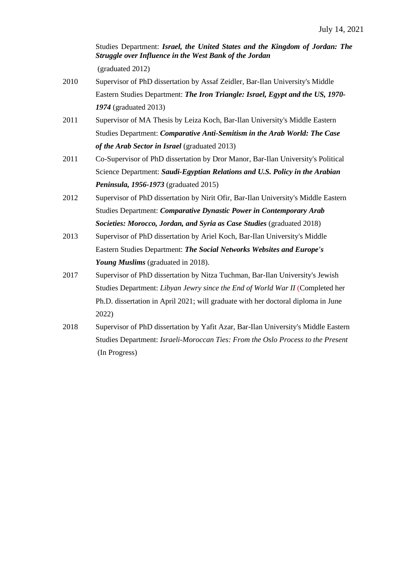Studies Department: *Israel, the United States and the Kingdom of Jordan: The Struggle over Influence in the West Bank of the Jordan* (graduated 2012)

- 2010 Supervisor of PhD dissertation by Assaf Zeidler, Bar-Ilan University's Middle Eastern Studies Department: *The Iron Triangle: Israel, Egypt and the US, 1970- 1974* (graduated 2013)
- 2011 Supervisor of MA Thesis by Leiza Koch, Bar-Ilan University's Middle Eastern Studies Department: *Comparative Anti-Semitism in the Arab World: The Case of the Arab Sector in Israel* (graduated 2013)
- 2011 Co-Supervisor of PhD dissertation by Dror Manor, Bar-Ilan University's Political Science Department: *Saudi-Egyptian Relations and U.S. Policy in the Arabian Peninsula, 1956-1973* (graduated 2015)
- 2012 Supervisor of PhD dissertation by Nirit Ofir, Bar-Ilan University's Middle Eastern Studies Department: *Comparative Dynastic Power in Contemporary Arab Societies: Morocco, Jordan, and Syria as Case Studies* (graduated 2018)
- 2013 Supervisor of PhD dissertation by Ariel Koch, Bar-Ilan University's Middle Eastern Studies Department: *The Social Networks Websites and Europe's Young Muslims* (graduated in 2018).
- 2017 Supervisor of PhD dissertation by Nitza Tuchman, Bar-Ilan University's Jewish Studies Department: *Libyan Jewry since the End of World War II* (Completed her Ph.D. dissertation in April 2021; will graduate with her doctoral diploma in June 2022)
- 2018 Supervisor of PhD dissertation by Yafit Azar, Bar-Ilan University's Middle Eastern Studies Department: *Israeli-Moroccan Ties: From the Oslo Process to the Present* (In Progress)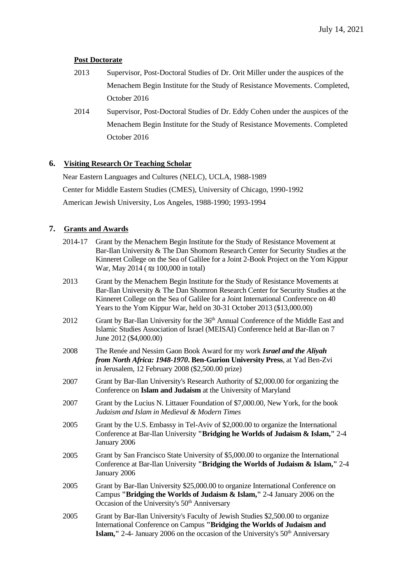# **Post Doctorate**

- 2013 Supervisor, Post-Doctoral Studies of Dr. Orit Miller under the auspices of the Menachem Begin Institute for the Study of Resistance Movements. Completed, October 2016
- 2014 Supervisor, Post-Doctoral Studies of Dr. Eddy Cohen under the auspices of the Menachem Begin Institute for the Study of Resistance Movements. Completed October 2016

# **6. Visiting Research Or Teaching Scholar**

Near Eastern Languages and Cultures (NELC), UCLA, 1988-1989 Center for Middle Eastern Studies (CMES), University of Chicago, 1990-1992 American Jewish University, Los Angeles, 1988-1990; 1993-1994

# **7. Grants and Awards**

| 2014-17 | Grant by the Menachem Begin Institute for the Study of Resistance Movement at<br>Bar-Ilan University & The Dan Shomorn Research Center for Security Studies at the<br>Kinneret College on the Sea of Galilee for a Joint 2-Book Project on the Yom Kippur<br>War, May 2014 ( $\Box$ 100,000 in total)                             |
|---------|-----------------------------------------------------------------------------------------------------------------------------------------------------------------------------------------------------------------------------------------------------------------------------------------------------------------------------------|
| 2013    | Grant by the Menachem Begin Institute for the Study of Resistance Movements at<br>Bar-Ilan University & The Dan Shomron Research Center for Security Studies at the<br>Kinneret College on the Sea of Galilee for a Joint International Conference on 40<br>Years to the Yom Kippur War, held on 30-31 October 2013 (\$13,000.00) |
| 2012    | Grant by Bar-Ilan University for the 36 <sup>th</sup> Annual Conference of the Middle East and<br>Islamic Studies Association of Israel (MEISAI) Conference held at Bar-Ilan on 7<br>June 2012 (\$4,000.00)                                                                                                                       |
| 2008    | The Renée and Nessim Gaon Book Award for my work Israel and the Aliyah<br>from North Africa: 1948-1970. Ben-Gurion University Press, at Yad Ben-Zvi<br>in Jerusalem, 12 February 2008 (\$2,500.00 prize)                                                                                                                          |
| 2007    | Grant by Bar-Ilan University's Research Authority of \$2,000.00 for organizing the<br>Conference on Islam and Judaism at the University of Maryland                                                                                                                                                                               |
| 2007    | Grant by the Lucius N. Littauer Foundation of \$7,000.00, New York, for the book<br>Judaism and Islam in Medieval & Modern Times                                                                                                                                                                                                  |
| 2005    | Grant by the U.S. Embassy in Tel-Aviv of \$2,000.00 to organize the International<br>Conference at Bar-Ilan University "Bridging he Worlds of Judaism & Islam," 2-4<br>January 2006                                                                                                                                               |
| 2005    | Grant by San Francisco State University of \$5,000.00 to organize the International<br>Conference at Bar-Ilan University "Bridging the Worlds of Judaism & Islam," 2-4<br>January 2006                                                                                                                                            |
| 2005    | Grant by Bar-Ilan University \$25,000.00 to organize International Conference on<br>Campus "Bridging the Worlds of Judaism & Islam," 2-4 January 2006 on the<br>Occasion of the University's 50 <sup>th</sup> Anniversary                                                                                                         |
| 2005    | Grant by Bar-Ilan University's Faculty of Jewish Studies \$2,500.00 to organize<br>International Conference on Campus "Bridging the Worlds of Judaism and<br>Islam," 2-4- January 2006 on the occasion of the University's 50 <sup>th</sup> Anniversary                                                                           |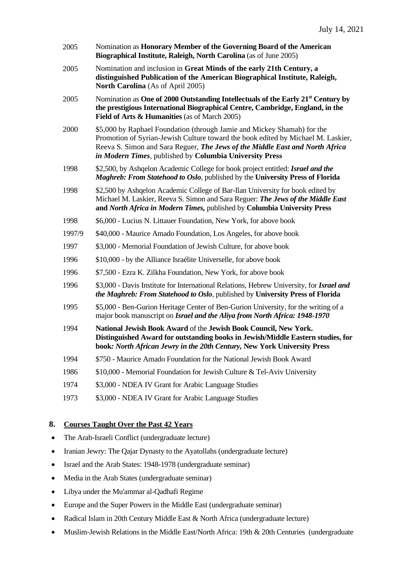| 2005   | Nomination as Honorary Member of the Governing Board of the American<br>Biographical Institute, Raleigh, North Carolina (as of June 2005)                                                                                                                                                              |
|--------|--------------------------------------------------------------------------------------------------------------------------------------------------------------------------------------------------------------------------------------------------------------------------------------------------------|
| 2005   | Nomination and inclusion in Great Minds of the early 21th Century, a<br>distinguished Publication of the American Biographical Institute, Raleigh,<br>North Carolina (As of April 2005)                                                                                                                |
| 2005   | Nomination as One of 2000 Outstanding Intellectuals of the Early 21 <sup>st</sup> Century by<br>the prestigious International Biographical Centre, Cambridge, England, in the<br>Field of Arts & Humanities (as of March 2005)                                                                         |
| 2000   | \$5,000 by Raphael Foundation (through Jamie and Mickey Shamah) for the<br>Promotion of Syrian-Jewish Culture toward the book edited by Michael M. Laskier,<br>Reeva S. Simon and Sara Reguer, The Jews of the Middle East and North Africa<br>in Modern Times, published by Columbia University Press |
| 1998   | \$2,500, by Ashqelon Academic College for book project entitled: Israel and the<br>Maghreb: From Statehood to Oslo, published by the University Press of Florida                                                                                                                                       |
| 1998   | \$2,500 by Ashqelon Academic College of Bar-Ilan University for book edited by<br>Michael M. Laskier, Reeva S. Simon and Sara Reguer: The Jews of the Middle East<br>and North Africa in Modern Times, published by Columbia University Press                                                          |
| 1998   | \$6,000 - Lucius N. Littauer Foundation, New York, for above book                                                                                                                                                                                                                                      |
| 1997/9 | \$40,000 - Maurice Amado Foundation, Los Angeles, for above book                                                                                                                                                                                                                                       |
| 1997   | \$3,000 - Memorial Foundation of Jewish Culture, for above book                                                                                                                                                                                                                                        |
| 1996   | \$10,000 - by the Alliance Israélite Universelle, for above book                                                                                                                                                                                                                                       |
| 1996   | \$7,500 - Ezra K. Zilkha Foundation, New York, for above book                                                                                                                                                                                                                                          |
| 1996   | \$3,000 - Davis Institute for International Relations, Hebrew University, for Israel and<br>the Maghreb: From Statehood to Oslo, published by University Press of Florida                                                                                                                              |
| 1995   | \$5,000 - Ben-Gurion Heritage Center of Ben-Gurion University, for the writing of a<br>major book manuscript on Israel and the Aliya from North Africa: 1948-1970                                                                                                                                      |
| 1994   | National Jewish Book Award of the Jewish Book Council, New York.<br>Distinguished Award for outstanding books in Jewish/Middle Eastern studies, for<br>book: North African Jewry in the 20th Century, New York University Press                                                                        |
| 1994   | \$750 - Maurice Amado Foundation for the National Jewish Book Award                                                                                                                                                                                                                                    |
| 1986   | \$10,000 - Memorial Foundation for Jewish Culture & Tel-Aviv University                                                                                                                                                                                                                                |
| 1974   | \$3,000 - NDEA IV Grant for Arabic Language Studies                                                                                                                                                                                                                                                    |
| 1973   | \$3,000 - NDEA IV Grant for Arabic Language Studies                                                                                                                                                                                                                                                    |

# **8. Courses Taught Over the Past 42 Years**

- The Arab-Israeli Conflict (undergraduate lecture)
- Iranian Jewry: The Qajar Dynasty to the Ayatollahs (undergraduate lecture)
- Israel and the Arab States: 1948-1978 (undergraduate seminar)
- Media in the Arab States (undergraduate seminar)
- Libya under the Mu'ammar al-Qadhafi Regime
- Europe and the Super Powers in the Middle East (undergraduate seminar)
- Radical Islam in 20th Century Middle East & North Africa (undergraduate lecture)
- Muslim-Jewish Relations in the Middle East/North Africa: 19th & 20th Centuries (undergraduate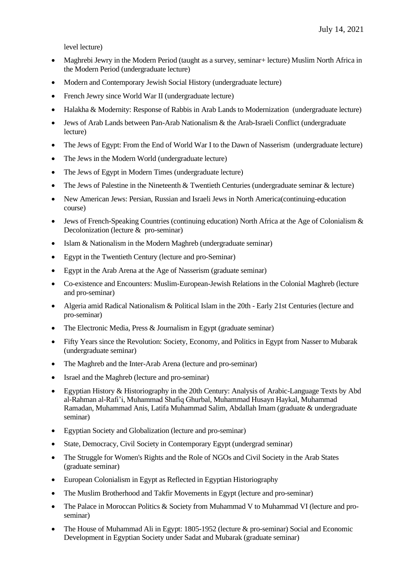level lecture)

- Maghrebi Jewry in the Modern Period (taught as a survey, seminar + lecture) Muslim North Africa in the Modern Period (undergraduate lecture)
- Modern and Contemporary Jewish Social History (undergraduate lecture)
- French Jewry since World War II (undergraduate lecture)
- Halakha & Modernity: Response of Rabbis in Arab Lands to Modernization (undergraduate lecture)
- Jews of Arab Lands between Pan-Arab Nationalism & the Arab-Israeli Conflict (undergraduate lecture)
- The Jews of Egypt: From the End of World War I to the Dawn of Nasserism (undergraduate lecture)
- The Jews in the Modern World (undergraduate lecture)
- The Jews of Egypt in Modern Times (undergraduate lecture)
- The Jews of Palestine in the Nineteenth  $&$  Twentieth Centuries (undergraduate seminar  $&$  lecture)
- New American Jews: Persian, Russian and Israeli Jews in North America (continuing-education course)
- Jews of French-Speaking Countries (continuing education) North Africa at the Age of Colonialism  $\&$ Decolonization (lecture & pro-seminar)
- Islam & Nationalism in the Modern Maghreb (undergraduate seminar)
- Egypt in the Twentieth Century (lecture and pro-Seminar)
- Egypt in the Arab Arena at the Age of Nasserism (graduate seminar)
- Co-existence and Encounters: Muslim-European-Jewish Relations in the Colonial Maghreb (lecture and pro-seminar)
- Algeria amid Radical Nationalism & Political Islam in the 20th Early 21st Centuries (lecture and pro-seminar)
- The Electronic Media, Press & Journalism in Egypt (graduate seminar)
- Fifty Years since the Revolution: Society, Economy, and Politics in Egypt from Nasser to Mubarak (undergraduate seminar)
- The Maghreb and the Inter-Arab Arena (lecture and pro-seminar)
- Israel and the Maghreb (lecture and pro-seminar)
- Egyptian History & Historiography in the 20th Century: Analysis of Arabic-Language Texts by Abd al-Rahman al-Rafi'i, Muhammad Shafiq Ghurbal, Muhammad Husayn Haykal, Muhammad Ramadan, Muhammad Anis, Latifa Muhammad Salim, Abdallah Imam (graduate & undergraduate seminar)
- Egyptian Society and Globalization (lecture and pro-seminar)
- State, Democracy, Civil Society in Contemporary Egypt (undergrad seminar)
- The Struggle for Women's Rights and the Role of NGOs and Civil Society in the Arab States (graduate seminar)
- European Colonialism in Egypt as Reflected in Egyptian Historiography
- The Muslim Brotherhood and Takfir Movements in Egypt (lecture and pro-seminar)
- The Palace in Moroccan Politics & Society from Muhammad V to Muhammad VI (lecture and proseminar)
- The House of Muhammad Ali in Egypt: 1805-1952 (lecture & pro-seminar) Social and Economic Development in Egyptian Society under Sadat and Mubarak (graduate seminar)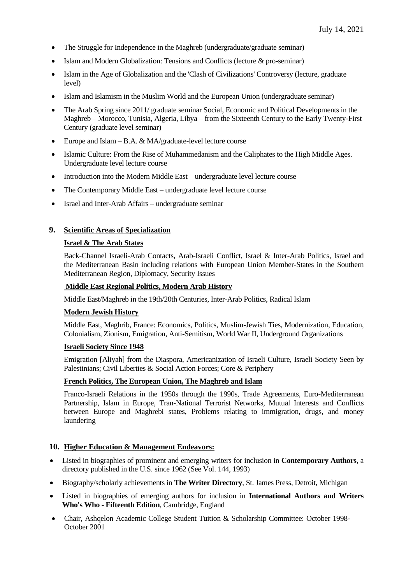- The Struggle for Independence in the Maghreb (undergraduate/graduate seminar)
- Islam and Modern Globalization: Tensions and Conflicts (lecture & pro-seminar)
- Islam in the Age of Globalization and the 'Clash of Civilizations' Controversy (lecture, graduate level)
- Islam and Islamism in the Muslim World and the European Union (undergraduate seminar)
- The Arab Spring since 2011/ graduate seminar Social, Economic and Political Developments in the Maghreb – Morocco, Tunisia, Algeria, Libya – from the Sixteenth Century to the Early Twenty-First Century (graduate level seminar)
- Europe and Islam B.A. & MA/graduate-level lecture course
- Islamic Culture: From the Rise of Muhammedanism and the Caliphates to the High Middle Ages. Undergraduate level lecture course
- Introduction into the Modern Middle East undergraduate level lecture course
- The Contemporary Middle East undergraduate level lecture course
- Israel and Inter-Arab Affairs undergraduate seminar

# **9. Scientific Areas of Specialization**

#### **Israel & The Arab States**

Back-Channel Israeli-Arab Contacts, Arab-Israeli Conflict, Israel & Inter-Arab Politics, Israel and the Mediterranean Basin including relations with European Union Member-States in the Southern Mediterranean Region, Diplomacy, Security Issues

#### **Middle East Regional Politics, Modern Arab History**

Middle East/Maghreb in the 19th/20th Centuries, Inter-Arab Politics, Radical Islam

#### **Modern Jewish History**

Middle East, Maghrib, France: Economics, Politics, Muslim-Jewish Ties, Modernization, Education, Colonialism, Zionism, Emigration, Anti-Semitism, World War II, Underground Organizations

#### **Israeli Society Since 1948**

Emigration [Aliyah] from the Diaspora, Americanization of Israeli Culture, Israeli Society Seen by Palestinians; Civil Liberties & Social Action Forces; Core & Periphery

#### **French Politics, The European Union, The Maghreb and Islam**

Franco-Israeli Relations in the 1950s through the 1990s, Trade Agreements, Euro-Mediterranean Partnership, Islam in Europe, Tran-National Terrorist Networks, Mutual Interests and Conflicts between Europe and Maghrebi states, Problems relating to immigration, drugs, and money laundering

#### **10. Higher Education & Management Endeavors:**

- Listed in biographies of prominent and emerging writers for inclusion in **Contemporary Authors**, a directory published in the U.S. since 1962 (See Vol. 144, 1993)
- Biography/scholarly achievements in **The Writer Directory**, St. James Press, Detroit, Michigan
- Listed in biographies of emerging authors for inclusion in **International Authors and Writers Who's Who - Fifteenth Edition**, Cambridge, England
- Chair, Ashqelon Academic College Student Tuition & Scholarship Committee: October 1998- October 2001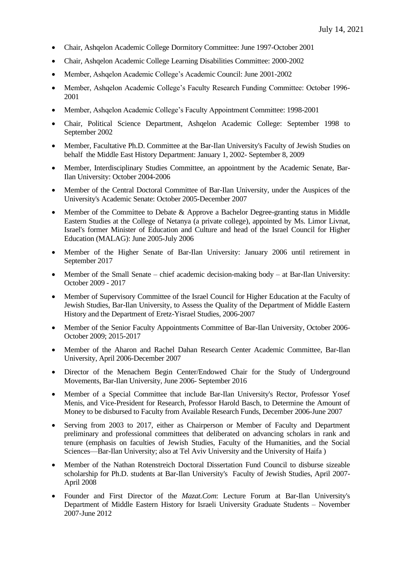- Chair, Ashqelon Academic College Dormitory Committee: June 1997-October 2001
- Chair, Ashqelon Academic College Learning Disabilities Committee: 2000-2002
- Member, Ashqelon Academic College's Academic Council: June 2001-2002
- Member, Ashqelon Academic College's Faculty Research Funding Committee: October 1996- 2001
- Member, Ashqelon Academic College's Faculty Appointment Committee: 1998-2001
- Chair, Political Science Department, Ashqelon Academic College: September 1998 to September 2002
- Member, Facultative Ph.D. Committee at the Bar-Ilan University's Faculty of Jewish Studies on behalf the Middle East History Department: January 1, 2002- September 8, 2009
- Member, Interdisciplinary Studies Committee, an appointment by the Academic Senate, Bar-Ilan University: October 2004-2006
- Member of the Central Doctoral Committee of Bar-Ilan University, under the Auspices of the University's Academic Senate: October 2005-December 2007
- Member of the Committee to Debate & Approve a Bachelor Degree-granting status in Middle Eastern Studies at the College of Netanya (a private college), appointed by Ms. Limor Livnat, Israel's former Minister of Education and Culture and head of the Israel Council for Higher Education (MALAG): June 2005-July 2006
- Member of the Higher Senate of Bar-Ilan University: January 2006 until retirement in September 2017
- Member of the Small Senate chief academic decision-making body at Bar-Ilan University: October 2009 - 2017
- Member of Supervisory Committee of the Israel Council for Higher Education at the Faculty of Jewish Studies, Bar-Ilan University, to Assess the Quality of the Department of Middle Eastern History and the Department of Eretz-Yisrael Studies, 2006-2007
- Member of the Senior Faculty Appointments Committee of Bar-Ilan University, October 2006- October 2009; 2015-2017
- Member of the Aharon and Rachel Dahan Research Center Academic Committee, Bar-Ilan University, April 2006-December 2007
- Director of the Menachem Begin Center/Endowed Chair for the Study of Underground Movements, Bar-Ilan University, June 2006- September 2016
- Member of a Special Committee that include Bar-Ilan University's Rector, Professor Yosef Menis, and Vice-President for Research, Professor Harold Basch, to Determine the Amount of Money to be disbursed to Faculty from Available Research Funds, December 2006-June 2007
- Serving from 2003 to 2017, either as Chairperson or Member of Faculty and Department preliminary and professional committees that deliberated on advancing scholars in rank and tenure (emphasis on faculties of Jewish Studies, Faculty of the Humanities, and the Social Sciences—Bar-Ilan University; also at Tel Aviv University and the University of Haifa )
- Member of the Nathan Rotenstreich Doctoral Dissertation Fund Council to disburse sizeable scholarship for Ph.D. students at Bar-Ilan University's Faculty of Jewish Studies, April 2007- April 2008
- Founder and First Director of the *Mazat.Com*: Lecture Forum at Bar-Ilan University's Department of Middle Eastern History for Israeli University Graduate Students – November 2007-June 2012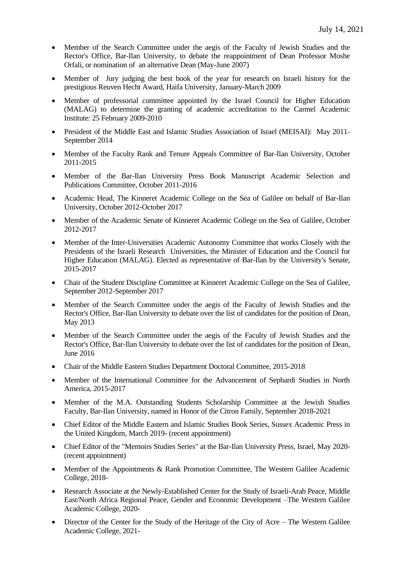- Member of the Search Committee under the aegis of the Faculty of Jewish Studies and the Rector's Office, Bar-Ilan University, to debate the reappointment of Dean Professor Moshe Orfali, or nomination of an alternative Dean (May-June 2007)
- Member of Jury judging the best book of the year for research on Israeli history for the prestigious Reuven Hecht Award, Haifa University, January-March 2009
- Member of professorial committee appointed by the Israel Council for Higher Education (MALAG) to determine the granting of academic accreditation to the Carmel Academic Institute: 25 February 2009-2010
- President of the Middle East and Islamic Studies Association of Israel (MEISAI): May 2011- September 2014
- Member of the Faculty Rank and Tenure Appeals Committee of Bar-Ilan University, October 2011-2015
- Member of the Bar-Ilan University Press Book Manuscript Academic Selection and Publications Committee, October 2011-2016
- Academic Head, The Kinneret Academic College on the Sea of Galilee on behalf of Bar-Ilan University, October 2012-October 2017
- Member of the Academic Senate of Kinneret Academic College on the Sea of Galilee, October 2012-2017
- Member of the Inter-Universities Academic Autonomy Committee that works Closely with the Presidents of the Israeli Research Universities, the Minister of Education and the Council for Higher Education (MALAG). Elected as representative of Bar-Ilan by the University's Senate, 2015-2017
- Chair of the Student Discipline Committee at Kinneret Academic College on the Sea of Galilee, September 2012-September 2017
- Member of the Search Committee under the aegis of the Faculty of Jewish Studies and the Rector's Office, Bar-Ilan University to debate over the list of candidates for the position of Dean, May 2013
- Member of the Search Committee under the aegis of the Faculty of Jewish Studies and the Rector's Office, Bar-Ilan University to debate over the list of candidates for the position of Dean, June 2016
- Chair of the Middle Eastern Studies Department Doctoral Committee, 2015-2018
- Member of the International Committee for the Advancement of Sephardi Studies in North America, 2015-2017
- Member of the M.A. Outstanding Students Scholarship Committee at the Jewish Studies Faculty, Bar-Ilan University, named in Honor of the Citron Family, September 2018-2021
- Chief Editor of the Middle Eastern and Islamic Studies Book Series, Sussex Academic Press in the United Kingdom, March 2019- (recent appointment)
- Chief Editor of the "Memoirs Studies Series" at the Bar-Ilan University Press, Israel, May 2020- (recent appointment)
- Member of the Appointments & Rank Promotion Committee, The Western Galilee Academic College, 2018-
- Research Associate at the Newly-Established Center for the Study of Israeli-Arab Peace, Middle East/North Africa Regional Peace, Gender and Economic Development –The Western Galilee Academic College, 2020-
- Director of the Center for the Study of the Heritage of the City of Acre The Western Galilee Academic College, 2021-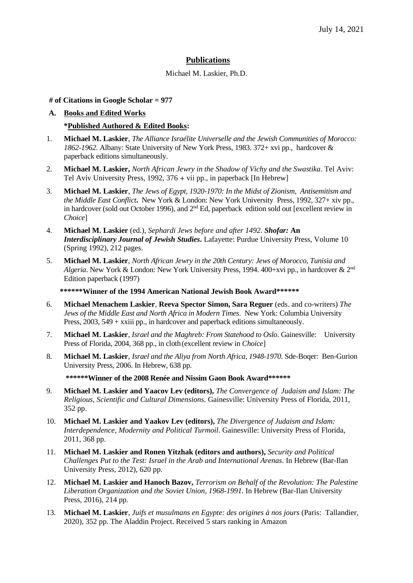# **Publications**

Michael M. Laskier, Ph.D.

**# of Citations in Google Scholar = 977**

# **A. Books and Edited Works \*Published Authored & Edited Books:**

- 1. **Michael M. Laskier**, *The Alliance Israélite Universelle and the Jewish Communities of Morocco: 1862-1962*. Albany: State University of New York Press, 1983. 372+ xvi pp., hardcover & paperback editions simultaneously.
- 2. **Michael M. Laskier,** *North African Jewry in the Shadow of Vichy and the Swastika*. Tel Aviv: Tel Aviv University Press, 1992, 376 + vii pp., in paperback [In Hebrew]
- 3. **Michael M. Laskier**, *The Jews of Egypt, 1920-1970: In the Midst of Zionism, Antisemitism and the Middle East Conflict***.** New York & London: New York University Press, 1992, 327+ xiv pp., in hardcover (sold out October 1996), and 2<sup>nd</sup> Ed, paperback edition sold out [excellent review in *Choice*]
- 4. **Michael M. Laskier** (ed.), *Sephardi Jews before and after 1492*. *Shofar:* **An**  *Interdisciplinary Journal of Jewish Studies***.** Lafayette: Purdue University Press, Volume 10 (Spring 1992), 212 pages.
- 5. **Michael M. Laskier**, *North African Jewry in the 20th Century: Jews of Morocco, Tunisia and Algeria*. New York & London: New York University Press, 1994. 400+xvi pp., in hardcover & 2nd Edition paperback (1997)

 **\*\*\*\*\*\*Winner of the 1994 American National Jewish Book Award\*\*\*\*\*\***

- 6. **Michael Menachem Laskier**, **Reeva Spector Simon, Sara Reguer** (eds. and co-writers) *The Jews of the Middle East and North Africa in Modern Times*. New York: Columbia University Press, 2003, 549 + xxiii pp., in hardcover and paperback editions simultaneously.
- 7. **Michael M. Laskier**, *Israel and the Maghreb: From Statehood to Oslo*. Gainesville:University Press of Florida, 2004, 368 pp., in cloth(excellent review in *Choice*]
- 8. **Michael M. Laskier**, *Israel and the Aliya from North Africa, 1948-1970*. Sde-Boqer: Ben-Gurion University Press, 2006. In Hebrew, 638 pp.

**\*\*\*\*\*\*Winner of the 2008 Renée and Nissim Gaon Book Award\*\*\*\*\*\***

- 9. **Michael M. Laskier and Yaacov Lev (editors),** *The Convergence of Judaism and Islam: The Religious, Scientific and Cultural Dimensions*. Gainesville: University Press of Florida, 2011, 352 pp.
- 10. **Michael M. Laskier and Yaakov Lev (editors),** *The Divergence of Judaism and Islam: Interdependence, Modernity and Political Turmoil*. Gainesville: University Press of Florida, 2011, 368 pp.
- 11. **Michael M. Laskier and Ronen Yitzhak (editors and authors),** *Security and Political Challenges Put to the Test: Israel in the Arab and International Arenas*. In Hebrew (Bar-Ilan University Press, 2012), 620 pp.
- 12. **Michael M. Laskier and Hanoch Bazov,** *Terrorism on Behalf of the Revolution: The Palestine Liberation Organization and the Soviet Union, 1968-1991.* In Hebrew (Bar-Ilan University Press, 2016), 214 pp.
- 13. **Michael M. Laskier**, *Juifs et musulmans en Egypte: des origines à nos jours* (Paris:Tallandier, 2020), 352 pp. The Aladdin Project. Received 5 stars ranking in Amazon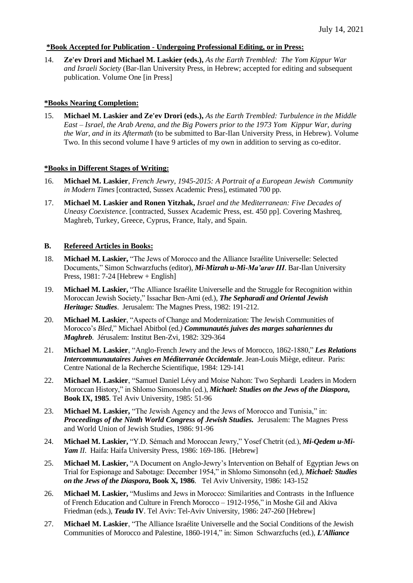### **\*Book Accepted for Publication - Undergoing Professional Editing, or in Press:**

14. **Ze'ev Drori and Michael M. Laskier (eds.),** *As the Earth Trembled: The Yom Kippur War and Israeli Society* (Bar-Ilan University Press, in Hebrew; accepted for editing and subsequent publication. Volume One [in Press]

### **\*Books Nearing Completion:**

15. **Michael M. Laskier and Ze'ev Drori (eds.),** *As the Earth Trembled: Turbulence in the Middle East – Israel, the Arab Arena, and the Big Powers prior to the 1973 Yom Kippur War, during the War, and in its Aftermath* (to be submitted to Bar-Ilan University Press, in Hebrew). Volume Two. In this second volume I have 9 articles of my own in addition to serving as co-editor.

#### **\*Books in Different Stages of Writing:**

- 16. **Michael M. Laskier**, *French Jewry, 1945-2015: A Portrait of a European Jewish Community in Modern Times* [contracted, Sussex Academic Press], estimated 700 pp.
- 17. **Michael M. Laskier and Ronen Yitzhak,** *Israel and the Mediterranean: Five Decades of Uneasy Coexistence*. [contracted, Sussex Academic Press, est. 450 pp]. Covering Mashreq, Maghreb, Turkey, Greece, Cyprus, France, Italy, and Spain.

# **B. Refereed Articles in Books:**

- 18. **Michael M. Laskier,** "The Jews of Morocco and the Alliance Israélite Universelle: Selected Documents," Simon Schwarzfuchs (editor), *Mi-Mizrah u-Mi-Ma'arav III*. Bar-Ilan University Press, 1981: 7-24 [Hebrew + English]
- 19. **Michael M. Laskier,** "The Alliance Israélite Universelle and the Struggle for Recognition within Moroccan Jewish Society," Issachar Ben-Ami (ed.), *The Sepharadi and Oriental Jewish Heritage: Studies*. Jerusalem: The Magnes Press, 1982: 191-212.
- 20. **Michael M. Laskier**, "Aspects of Change and Modernization: The Jewish Communities of Morocco's *Bled*," Michael Abitbol (ed*.) Communautés juives des marges sahariennes du Maghreb*. Jérusalem: Institut Ben-Zvi, 1982: 329-364
- 21. **Michael M. Laskier**, "Anglo-French Jewry and the Jews of Morocco, 1862-1880," *Les Relations Intercommunautaires Juives en Méditerranée Occidentale*. Jean-Louis Miège, editeur. Paris: Centre National de la Recherche Scientifique, 1984: 129-141
- 22. **Michael M. Laskier**, "Samuel Daniel Lévy and Moise Nahon: Two Sephardi Leaders in Modern Moroccan History," in Shlomo Simonsohn (ed.), *Michael: Studies on the Jews of the Diaspora***, Book IX, 1985**. Tel Aviv University, 1985: 51-96
- 23. **Michael M. Laskier,** "The Jewish Agency and the Jews of Morocco and Tunisia," in: *Proceedings of the Ninth World Congress of Jewish Studies.*Jerusalem: The Magnes Press and World Union of Jewish Studies, 1986: 91-96
- 24. **Michael M. Laskier,** "Y.D. Sémach and Moroccan Jewry," Yosef Chetrit (ed.), *Mi-Qedem u-Mi-Yam II*. Haifa: Haifa University Press, 1986: 169-186. [Hebrew]
- 25. **Michael M. Laskier,** "A Document on Anglo-Jewry's Intervention on Behalf of Egyptian Jews on Trial for Espionage and Sabotage: December 1954," in Shlomo Simonsohn (ed*.), Michael: Studies on the Jews of the Diaspora***, Book X, 1986**. Tel Aviv University, 1986: 143-152
- 26. **Michael M. Laskier,** "Muslims and Jews in Morocco: Similarities and Contrasts in the Influence of French Education and Culture in French Morocco – 1912-1956," in Moshe Gil and Akiva Friedman (eds.), *Teuda* **IV**. Tel Aviv: Tel-Aviv University, 1986: 247-260 [Hebrew]
- 27. **Michael M. Laskier**, "The Alliance Israélite Universelle and the Social Conditions of the Jewish Communities of Morocco and Palestine, 1860-1914," in: Simon Schwarzfuchs (ed.), *L'Alliance*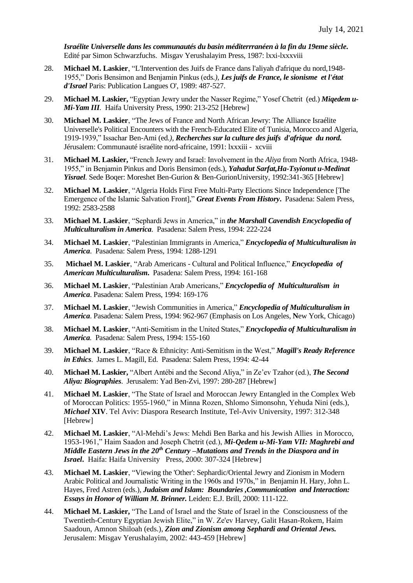*Israélite Universelle dans les communautés du basin méditerrranéen à la fin du 19eme siècle***.**  Edité par Simon Schwarzfuchs. Misgav Yerushalayim Press, 1987: lxxi-lxxxviii

- 28. **Michael M. Laskier**, "L'Intervention des Juifs de France dans l'aliyah d'afrique du nord,1948- 1955," Doris Bensimon and Benjamin Pinkus (eds*.), Les juifs de France, le sionisme et l'état d'Israel* Paris: Publication Langues O', 1989: 487-527.
- 29. **Michael M. Laskier,** "Egyptian Jewry under the Nasser Regime," Yosef Chetrit (ed.) *Miqedem u-Mi-Yam III.* Haifa University Press, 1990: 213-252 [Hebrew]
- 30. **Michael M. Laskier**, "The Jews of France and North African Jewry: The Alliance Israélite Universelle's Political Encounters with the French-Educated Elite of Tunisia, Morocco and Algeria, 1919-1939," Issachar Ben-Ami (ed*.), Recherches sur la culture des juifs d'afrique du nord.*  Jérusalem: Communauté israélite nord-africaine, 1991: lxxxiii - xcviii
- 31. **Michael M. Laskier,** "French Jewry and Israel: Involvement in the *Aliya* from North Africa, 1948- 1955," in Benjamin Pinkus and Doris Bensimon (eds.), *Yahadut Sarfat,Ha-Tsyionut u-Medinat Yisrael.* Sede Boqer: Moreshet Ben-Gurion & Ben-GurionUniversity, 1992:341-365 [Hebrew]
- 32. **Michael M. Laskier**, "Algeria Holds First Free Multi-Party Elections Since Independence [The Emergence of the Islamic Salvation Front]," *Great Events From History***.** Pasadena: Salem Press, 1992: 2583-2588
- 33. **Michael M. Laskier**, "Sephardi Jews in America," in *the Marshall Cavendish Encyclopedia of Multiculturalism in America*. Pasadena: Salem Press, 1994: 222-224
- 34. **Michael M. Laskier**, "Palestinian Immigrants in America," *Encyclopedia of Multiculturalism in America*. Pasadena: Salem Press, 1994: 1288-1291
- 35. **Michael M. Laskier**, "Arab Americans Cultural and Political Influence," *Encyclopedia of American Multiculturalism***.** Pasadena: Salem Press, 1994: 161-168
- 36. **Michael M. Laskier**, "Palestinian Arab Americans," *Encyclopedia of Multiculturalism in America*. Pasadena: Salem Press, 1994: 169-176
- 37. **Michael M. Laskier**, "Jewish Communities in America," *Encyclopedia of Multiculturalism in America*. Pasadena: Salem Press, 1994: 962-967 (Emphasis on Los Angeles, **N**ew York, Chicago)
- 38. **Michael M. Laskier**, "Anti-Semitism in the United States," *Encyclopedia of Multiculturalism in America.* Pasadena: Salem Press, 1994: 155-160
- 39. **Michael M. Laskier**, "Race & Ethnicity: Anti-Semitism in the West," *Magill's Ready Reference in Ethics*. James L. Magill, Ed. Pasadena: Salem Press, 1994: 42-44
- 40. **Michael M. Laskier,** "Albert Antébi and the Second Aliya," in Ze'ev Tzahor (ed.), *The Second Aliya: Biographies*. Jerusalem: Yad Ben-Zvi, 1997: 280-287 [Hebrew]
- 41. **Michael M. Laskier**, "The State of Israel and Moroccan Jewry Entangled in the Complex Web of Moroccan Politics: 1955-1960," in Minna Rozen, Shlomo Simonsohn, Yehuda Nini (eds.), *Michael* **XIV**. Tel Aviv: Diaspora Research Institute, Tel-Aviv University, 1997: 312-348 [Hebrew]
- 42. **Michael M. Laskier**, "Al-Mehdi's Jews: Mehdi Ben Barka and his Jewish Allies in Morocco, 1953-1961," Haim Saadon and Joseph Chetrit (ed.), *Mi-Qedem u-Mi-Yam VII: Maghrebi and Middle Eastern Jews in the 20th Century –Mutations and Trends in the Diaspora and in Israel***.** Haifa: Haifa University Press, 2000: 307-324 [Hebrew]
- 43. **Michael M. Laskier**, "Viewing the 'Other': Sephardic/Oriental Jewry and Zionism in Modern Arabic Political and Journalistic Writing in the 1960s and 1970s," in Benjamin H. Hary, John L. Hayes, Fred Astren (eds.), *Judaism and Islam: Boundaries ,Communication and Interaction: Essays in Honor of William M. Brinner.* Leiden: E.J. Brill, 2000: 111-122.
- 44. **Michael M. Laskier,** "The Land of Israel and the State of Israel in the Consciousness of the Twentieth-Century Egyptian Jewish Elite," in W. Ze'ev Harvey, Galit Hasan-Rokem, Haim Saadoun, Amnon Shiloah (eds.), *Zion and Zionism among Sephardi and Oriental Jews.*  Jerusalem: Misgav Yerushalayim, 2002: 443-459 [Hebrew]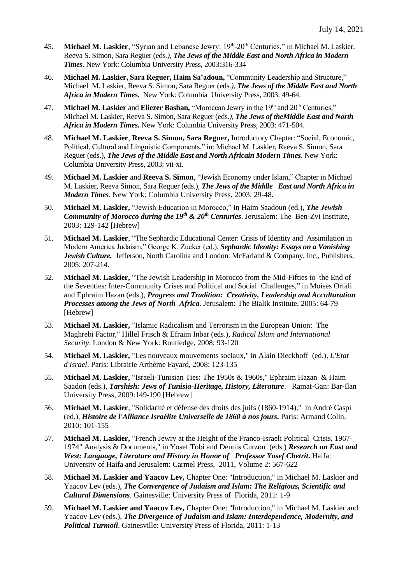- 45. **Michael M. Laskier**, "Syrian and Lebanese Jewry: 19<sup>th</sup>-20<sup>th</sup> Centuries," in Michael M. Laskier, Reeva S. Simon, Sara Reguer (eds*.), The Jews of the Middle East and North Africa in Modern Times*. New York: Columbia University Press, 2003:316-334
- 46. **Michael M. Laskier, Sara Reguer, Haim Sa'adoun,** "Community Leadership and Structure," Michael M. Laskier, Reeva S. Simon, Sara Reguer (eds*.), The Jews of the Middle East and North Africa in Modern Times***.** New York: Columbia University Press, 2003: 49-64.
- 47. **Michael M. Laskier** and **Eliezer Bashan,** "Moroccan Jewry in the 19<sup>th</sup> and 20<sup>th</sup> Centuries," Michael M. Laskier, Reeva S. Simon, Sara Reguer (eds*.), The Jews of theMiddle East and North Africa in Modern Times.* New York: Columbia University Press, 2003: 471-504.
- 48. **Michael M. Laskier**, **Reeva S. Simon, Sara Reguer,** Introductory Chapter: "Social, Economic, Political, Cultural and Linguistic Components," in: Michael M. Laskier, Reeva S. Simon, Sara Reguer (eds.), *The Jews of the Middle East and North Africain Modern Times*. New York: Columbia University Press, 2003: vii-xi.
- 49. **Michael M. Laskier** and **Reeva S. Simon**, "Jewish Economy under Islam," Chapter in Michael M. Laskier, Reeva Simon, Sara Reguer (eds.), *The Jews of the Middle East and North Africa in Modern Times*. New York: Columbia University Press, 2003: 29-48.
- 50. **Michael M. Laskier,** "Jewish Education in Morocco," in Haim Saadoun (ed.), *The Jewish Community of Morocco during the 19th & 20th Centuries*. Jerusalem: The Ben-Zvi Institute, 2003: 129-142 [Hebrew]
- 51. **Michael M. Laskier**, "The Sephardic Educational Center: Crisis of Identity and Assimilation in Modern America Judaism," George K. Zucker (ed.), *Sephardic Identity: Essays on a Vanishing Jewish Culture.* Jefferson, North Carolina and London: McFarland & Company, Inc., Publishers, 2005: 207-214.
- 52. **Michael M. Laskier,** "The Jewish Leadership in Morocco from the Mid-Fifties to the End of the Seventies: Inter-Community Crises and Political and Social Challenges," in Moises Orfali and Ephraim Hazan (eds.), *Progress and Tradition: Creativity, Leadership and Acculturation Processes among the Jews of North Africa*. Jerusalem: The Bialik Institute, 2005: 64-79 [Hebrew]
- 53. **Michael M. Laskier,** "Islamic Radicalism and Terrorism in the European Union: The Maghrebi Factor," Hillel Frisch & Efraim Inbar (eds.), *Radical Islam and International Security*. London & New York: Routledge, 2008: 93-120
- 54. **Michael M. Laskier,** "Les nouveaux mouvements sociaux," in Alain Dieckhoff (ed.), *L'Etat d'Israel*. Paris: Librairie Arthème Fayard, 2008: 123-135
- 55. **Michael M. Laskier,** "Israeli-Tunisian Ties: The 1950s & 1960s," Ephraim Hazan & Haim Saadon (eds.), *Tarshish: Jews of Tunisia-Heritage, History, Literature*. Ramat-Gan: Bar**-**Ilan University Press, 2009:149-190 [Hebrew]
- 56. **Michael M. Laskier**, "Solidarité et défense des droits des juifs (1860-1914)," in André Caspi (ed.), *Histoire de l'Alliance Israélite Universelle de 1860 à nos jours***.** Paris: Armand Colin, 2010: 101-155
- 57. **Michael M. Laskier,** "French Jewry at the Height of the Franco-Israeli Political Crisis, 1967- 1974" Analysis & Documents," in Yosef Tobi and Dennis Curzon (eds.) *Research on East and West: Language, Literature and History in Honor of Professor Yosef Chetrit***.** Haifa: University of Haifa and Jerusalem: Carmel Press, 2011, Volume 2: 567-622
- 58. **Michael M. Laskier and Yaacov Lev,** Chapter One: "Introduction," in Michael M. Laskier and Yaacov Lev (eds.), *The Convergence of Judaism and Islam: The Religious, Scientific and Cultural Dimensions*. Gainesville: University Press of Florida, 2011: 1-9
- 59. **Michael M. Laskier and Yaacov Lev,** Chapter One: "Introduction," in Michael M. Laskier and Yaacov Lev (eds.), *The Divergence of Judaism and Islam: Interdependence, Modernity, and Political Turmoil*. Gainesville: University Press of Florida, 2011: 1-13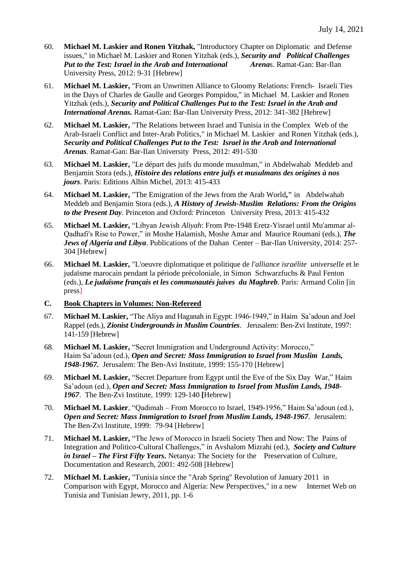- 60. **Michael M. Laskier and Ronen Yitzhak,** "Introductory Chapter on Diplomatic and Defense issues," in Michael M. Laskier and Ronen Yitzhak (eds.), *Security and Political Challenges*  **Put to the Test: Israel in the Arab and International** University Press, 2012: 9-31 [Hebrew]
- 61. **Michael M. Laskier,** "From an Unwritten Alliance to Gloomy Relations: French- Israeli Ties in the Days of Charles de Gaulle and Georges Pompidou," in Michael M. Laskier and Ronen Yitzhak (eds.), *Security and Political Challenges Put to the Test: Israel in the Arab and International Arenas.* Ramat-Gan: Bar-Ilan University Press, 2012: 341-382 [Hebrew]
- 62. **Michael M. Laskier,** "The Relations between Israel and Tunisia in the Complex Web of the Arab-Israeli Conflict and Inter-Arab Politics," in Michael M. Laskier and Ronen Yitzhak (eds.), *Security and Political Challenges Put to the Test: Israel in the Arab and International Arenas*. Ramat-Gan: Bar-Ilan University Press, 2012: 491-530
- 63. **Michael M. Laskier,** "Le départ des juifs du monde musulman," in Abdelwahab Meddeb and Benjamin Stora (eds.), *Histoire des relations entre juifs et musulmans des origines à nos jours*. Paris: Editions Albin Michel, 2013: 415-433
- 64. **Michael M. Laskier,** "The Emigration of the Jews from the Arab World**,"** in Abdelwahab Meddeb and Benjamin Stora (eds.), *A History of Jewish-Muslim Relations: From the Origins to the Present Day.* Princeton and Oxford: Princeton University Press, 2013: 415-432
- 65. **Michael M. Laskier,** "Libyan Jewish *Aliyah*: From Pre-1948 Eretz-Yisrael until Mu'ammar al-Qadhafi's Rise to Power," in Moshe Halamish, Moshe Amar and Maurice Roumani (eds.), *The Jews of Algeria and Libya*. Publications of the Dahan Center – Bar-Ilan University, 2014: 257- 304 [Hebrew]
- 66. **Michael M. Laskier,** "L'oeuvre diplomatique et politique de *l'alliance israélite universelle* et le judaïsme marocain pendant la période précoloniale, in Simon Schwarzfuchs & Paul Fenton (eds.), *Le judaïsme français et les communautés juives du Maghreb*. Paris: Armand Colin [in press]
- **C. Book Chapters in Volumes: Non-Refereed**
- 67. **Michael M. Laskier,** "The Aliya and Haganah in Egypt: 1946-1949," in Haim Sa'adoun and Joel Rappel (eds.), *Zionist Undergrounds in Muslim Countries*. Jerusalem: Ben-Zvi Institute, 1997: 141-159 [Hebrew]
- 68. **Michael M. Laskier,** "Secret Immigration and Underground Activity: Morocco," Haim Sa'adoun (ed.), *Open and Secret: Mass Immigration to Israel from Muslim Lands, 1948-1967.* Jerusalem: The Ben-Avi Institute, 1999: 155-170 [Hebrew]
- 69. **Michael M. Laskier,** "Secret Departure from Egypt until the Eve of the Six Day War," Haim Sa'adoun (ed.), *Open and Secret: Mass Immigration to Israel from Muslim Lands, 1948- 1967*. The Ben-Zvi Institute, 1999: 129-140 **[**Hebrew]
- 70. **Michael M. Laskier**, "Qadimah From Morocco to Israel, 1949-1956," Haim Sa'adoun (ed.), *Open and Secret: Mass Immigration to Israel from Muslim Lands, 1948-1967.* Jerusalem: The Ben-Zvi Institute, 1999: 79-94 [Hebrew]
- 71. **Michael M. Laskier,** "The Jews of Morocco in Israeli Society Then and Now: The Pains of Integration and Politico-Cultural Challenges," in Avshalom Mizrahi (ed.), *Society and Culture in Israel – The First Fifty Years***.** Netanya: The Society for the Preservation of Culture, Documentation and Research, 2001: 492-508 [Hebrew]
- 72. **Michael M. Laskier,** "Tunisia since the "Arab Spring" Revolution of January 2011 in Comparison with Egypt, Morocco and Algeria: New Perspectives," in a new Internet Web on Tunisia and Tunisian Jewry, 2011, pp. 1-6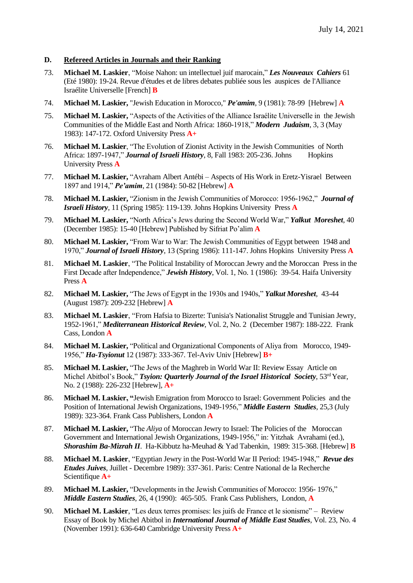### **D. Refereed Articles in Journals and their Ranking**

- 73. **Michael M. Laskier**, "Moise Nahon: un intellectuel juif marocain," *Les Nouveaux Cahiers* 61 (Eté 1980): 19-24. Revue d'études et de libres debates publiée sous les auspices de l'Alliance Israélite Universelle [French] **B**
- 74. **Michael M. Laskier,** "Jewish Education in Morocco," *Pe'amim*, 9 (1981): 78-99 [Hebrew] **A**
- 75. **Michael M. Laskier,** "Aspects of the Activities of the Alliance Israélite Universelle in the Jewish Communities of the Middle East and North Africa: 1860-1918," *Modern Judaism*, 3, 3 (May 1983): 147-172. Oxford University Press **A+**
- 76. **Michael M. Laskier**, "The Evolution of Zionist Activity in the Jewish Communities of North Africa: 1897-1947," *Journal of Israeli History*, 8, Fall 1983: 205-236. Johns Hopkins University Press **A**
- 77. **Michael M. Laskier,** "Avraham Albert Antébi Aspects of His Work in Eretz-Yisrael Between 1897 and 1914," *Pe'amim*, 21 (1984): 50-82 [Hebrew] **A**
- 78. **Michael M. Laskier,** "Zionism in the Jewish Communities of Morocco: 1956-1962," *Journal of Israeli History,* 11 (Spring 1985): 119-139. Johns Hopkins University Press **A**
- 79. **Michael M. Laskier,** "North Africa's Jews during the Second World War," *Yalkut Moreshet*, 40 (December 1985): 15-40 [Hebrew] Published by Sifriat Po'alim **A**
- 80. **Michael M. Laskier,** "From War to War: The Jewish Communities of Egypt between 1948 and 1970," *Journal of Israeli History*, 13 (Spring 1986): 111-147. Johns Hopkins University Press **A**
- 81. **Michael M. Laskier**, "The Political Instability of Moroccan Jewry and the Moroccan Press in the First Decade after Independence," *Jewish History*, Vol. 1, No. 1 (1986): 39-54. Haifa University Press **A**
- 82. **Michael M. Laskier,** "The Jews of Egypt in the 1930s and 1940s," *Yalkut Moreshet,* 43-44 (August 1987): 209-232 [Hebrew] **A**
- 83. **Michael M. Laskier**, "From Hafsia to Bizerte: Tunisia's Nationalist Struggle and Tunisian Jewry, 1952-1961," *Mediterranean Historical Review*, Vol. 2, No. 2 (December 1987): 188-222. Frank Cass, London **A**
- 84. **Michael M. Laskier,** "Political and Organizational Components of Aliya from Morocco, 1949- 1956," *Ha-Tsyionut* 12 (1987): 333-367. Tel-Aviv Univ [Hebrew] **B+**
- 85. **Michael M. Laskier,** "The Jews of the Maghreb in World War II: Review Essay Article on Michel Abitbol's Book," *Tsyion: Quarterly Journal of the Israel Historical Society*, 53<sup>rd</sup> Year, No. 2 (1988): 226-232 [Hebrew], **A+**
- 86. **Michael M. Laskier, "**Jewish Emigration from Morocco to Israel: Government Policies and the Position of International Jewish Organizations, 1949-1956," *Middle Eastern Studies*, 25,3 (July 1989): 323-364. Frank Cass Publishers, London **A**
- 87. **Michael M. Laskier,** "The *Aliya* of Moroccan Jewry to Israel: The Policies of the Moroccan Government and International Jewish Organizations, 1949-1956," in: Yitzhak Avrahami (ed.), *Shorashim Ba-Mizrah II*. Ha-Kibbutz ha-Meuhad & Yad Tabenkin, 1989: 315-368. [Hebrew] **B**
- 88. **Michael M. Laskier**, "Egyptian Jewry in the Post-World War II Period: 1945-1948," *Revue des Etudes Juives*, Juillet - Decembre 1989): 337-361. Paris: Centre National de la Recherche Scientifique **A+**
- 89. **Michael M. Laskier,** "Developments in the Jewish Communities of Morocco: 1956- 1976," *Middle Eastern Studies*, 26, 4 (1990): 465-505. Frank Cass Publishers, London, **A**
- 90. **Michael M. Laskier**, "Les deux terres promises: les juifs de France et le sionisme" Review Essay of Book by Michel Abitbol in *International Journal of Middle East Studies*, Vol. 23, No. 4 (November 1991): 636-640 Cambridge University Press **A+**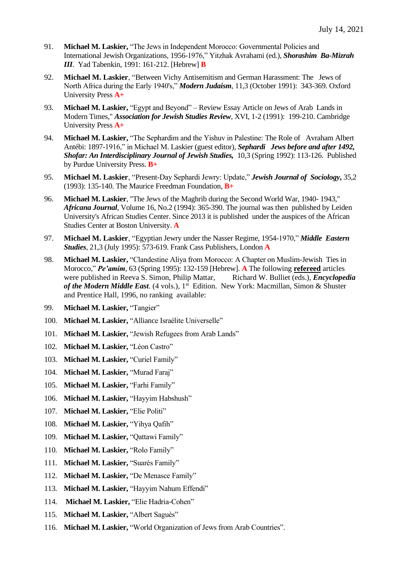- 91. **Michael M. Laskier,** "The Jews in Independent Morocco: Governmental Policies and International Jewish Organizations, 1956-1976," Yitzhak Avrahami (ed.), *Shorashim Ba-Mizrah III*. Yad Tabenkin, 1991: 161-212. [Hebrew] **B**
- 92. **Michael M. Laskier**, "Between Vichy Antisemitism and German Harassment: The Jews of North Africa during the Early 1940's," *Modern Judaism*, 11,3 (October 1991): 343-369. Oxford University Press **A+**
- 93. **Michael M. Laskier,** "Egypt and Beyond" Review Essay Article on Jews of Arab Lands in Modern Times," *Association for Jewish Studies Review*, XVI, 1-2 (1991): 199-210. Cambridge University Press **A+**
- 94. **Michael M. Laskier,** "The Sephardim and the Yishuv in Palestine: The Role of Avraham Albert Antébi: 1897-1916," in Michael M. Laskier (guest editor), *Sephardi Jews before and after 1492, Shofar: An Interdisciplinary Journal of Jewish Studies,* 10,3 (Spring 1992): 113-126. Published by Purdue University Press. **B+**
- 95. **Michael M. Laskier**, "Present-Day Sephardi Jewry: Update," *Jewish Journal of Sociology***,** 35,2 (1993): 135-140. The Maurice Freedman Foundation, **B+**
- 96. **Michael M. Laskier**, "The Jews of the Maghrib during the Second World War, 1940- 1943," *Africana Journal*, Volume 16, No.2 (1994): 365-390. The journal was then published by Leiden University's African Studies Center. Since 2013 it is published under the auspices of the African Studies Center at Boston University. **A**
- 97. **Michael M. Laskier**, "Egyptian Jewry under the Nasser Regime, 1954-1970," *Middle Eastern Studies*, 21,3 (July 1995): 573-619. Frank Cass Publishers, London **A**
- 98. **Michael M. Laskier,** "Clandestine Aliya from Morocco: A Chapter on Muslim-Jewish Ties in Morocco," *Pe'amim*, 63 (Spring 1995): 132-159 [Hebrew]. **A** The following **refereed** articles were published in Reeva S. Simon, Philip Mattar, Richard W. Bulliet (eds.), *Encyclopedia of the Modern Middle East*. (4 vols.), 1st Edition. New York: Macmillan, Simon & Shuster and Prentice Hall, 1996, no ranking available:
- 99. **Michael M. Laskier, "Tangier"**
- 100. **Michael M. Laskier, "Alliance Israélite Universelle"**
- 101. **Michael M. Laskier,** "Jewish Refugees from Arab Lands"
- 102. **Michael M. Laskier,** "Léon Castro"
- 103. **Michael M. Laskier, "Curiel Family"**
- 104. **Michael M. Laskier,** "Murad Faraj"
- 105. **Michael M. Laskier,** "Farhi Family"
- 106. **Michael M. Laskier,** "Hayyim Habshush"
- 107. **Michael M. Laskier,** "Elie Politi"
- 108. **Michael M. Laskier,** "Yihya Qafih"
- 109. **Michael M. Laskier,** "Qattawi Family"
- 110. **Michael M. Laskier,** "Rolo Family"
- 111. **Michael M. Laskier, "Suarès Family"**
- 112. **Michael M. Laskier,** "De Menasce Family"
- 113. **Michael M. Laskier, "Hayyim Nahum Effendi"**
- 114. **Michael M. Laskier,** "Elie Hadria-Cohen"
- 115. **Michael M. Laskier, "Albert Saguès"**
- 116. **Michael M. Laskier,** "World Organization of Jews from Arab Countries".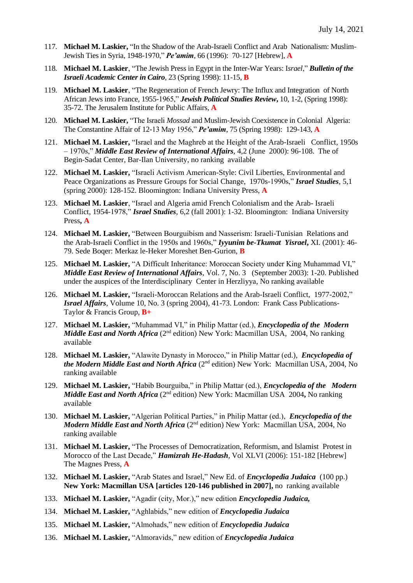- 117. **Michael M. Laskier,** "In the Shadow of the Arab-Israeli Conflict and Arab Nationalism: Muslim-Jewish Ties in Syria, 1948-1970," *Pe'amim*, 66 (1996): 70-127 [Hebrew], **A**
- 118. **Michael M. Laskier**, "The Jewish Press in Egypt in the Inter-War Years: I*srael*," *Bulletin of the Israeli Academic Center in Cairo*, 23 (Spring 1998): 11-15, **B**
- 119. **Michael M. Laskier**, "The Regeneration of French Jewry: The Influx and Integration of North African Jews into France, 1955-1965," *Jewish Political Studies Review***,** 10, 1-2, (Spring 1998): 35-72. The Jerusalem Institute for Public Affairs, **A**
- 120. **Michael M. Laskier,** "The Israeli *Mossad* and Muslim-Jewish Coexistence in Colonial Algeria: The Constantine Affair of 12-13 May 1956," *Pe'amim*, 75 (Spring 1998): 129-143, **A**
- 121. **Michael M. Laskier,** "Israel and the Maghreb at the Height of the Arab-Israeli Conflict, 1950s – 1970s," *Middle East Review of International Affairs,* 4,2 (June 2000): 96-108. The of Begin-Sadat Center, Bar-Ilan University, no ranking available
- 122. **Michael M. Laskier,** "Israeli Activism American-Style: Civil Liberties, Environmental and Peace Organizations as Pressure Groups for Social Change, 1970s-1990s," *Israel Studies*, 5,1 (spring 2000): 128-152. Bloomington: Indiana University Press, **A**
- 123. **Michael M. Laskier**, "Israel and Algeria amid French Colonialism and the Arab- Israeli Conflict, 1954-1978," *Israel Studies*, 6,2 (fall 2001): 1-32. Bloomington: Indiana University Press**, A**
- 124. **Michael M. Laskier,** "Between Bourguibism and Nasserism: Israeli-Tunisian Relations and the Arab-Israeli Conflict in the 1950s and 1960s," *Iyyunim be-Tkumat Yisrael***,** XI. (2001): 46- 79. Sede Boqer: Merkaz le-Heker Moreshet Ben-Gurion, **B**
- 125. **Michael M. Laskier,** "A Difficult Inheritance: Moroccan Society under King Muhammad VI," *Middle East Review of International Affairs*, Vol. 7, No. 3 (September 2003): 1-20. Published under the auspices of the Interdisciplinary Center in Herzliyya, No ranking available
- 126. **Michael M. Laskier,** "Israeli-Moroccan Relations and the Arab-Israeli Conflict, 1977-2002," *Israel Affairs*, Volume 10, No. 3 (spring 2004), 41-73. London: Frank Cass Publications-Taylor & Francis Group, **B+**
- 127. **Michael M. Laskier,** "Muhammad VI," in Philip Mattar (ed.), *Encyclopedia of the Modern Middle East and North Africa* (2<sup>nd</sup> edition) New York: Macmillan USA, 2004, No ranking available
- 128. **Michael M. Laskier,** "Alawite Dynasty in Morocco," in Philip Mattar (ed.), *Encyclopedia of the Modern Middle East and North Africa* (2nd edition) New York: Macmillan USA, 2004, No ranking available
- 129. **Michael M. Laskier,** "Habib Bourguiba," in Philip Mattar (ed.), *Encyclopedia of the Modern Middle East and North Africa* (2<sup>nd</sup> edition) New York: Macmillan USA 2004, No ranking available
- 130. **Michael M. Laskier,** "Algerian Political Parties," in Philip Mattar (ed.), *Encyclopedia of the Modern Middle East and North Africa* (2<sup>nd</sup> edition) New York: Macmillan USA, 2004, No ranking available
- 131. **Michael M. Laskier,** "The Processes of Democratization, Reformism, and Islamist Protest in Morocco of the Last Decade," *Hamizrah He-Hadash,* Vol XLVI (2006): 151-182 [Hebrew] The Magnes Press, **A**
- 132. **Michael M. Laskier,** "Arab States and Israel," New Ed. of *Encyclopedia Judaica* (100 pp.) **New York: Macmillan USA [articles 120-146 published in 2007],** no ranking available
- 133. **Michael M. Laskier,** "Agadir (city, Mor.)," new edition *Encyclopedia Judaica,*
- 134. **Michael M. Laskier,** "Aghlabids," new edition of *Encyclopedia Judaica*
- 135. **Michael M. Laskier,** "Almohads," new edition of *Encyclopedia Judaica*
- 136. **Michael M. Laskier,** "Almoravids," new edition of *Encyclopedia Judaica*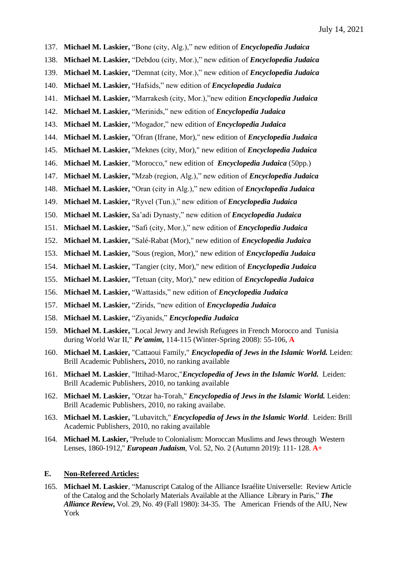- 137. **Michael M. Laskier,** "Bone (city, Alg.)," new edition of *Encyclopedia Judaica*
- 138. **Michael M. Laskier,** "Debdou (city, Mor.)," new edition of *Encyclopedia Judaica*
- 139. **Michael M. Laskier,** "Demnat (city, Mor.)," new edition of *Encyclopedia Judaica*
- 140. **Michael M. Laskier,** "Hafsids," new edition of *Encyclopedia Judaica*
- 141. **Michael M. Laskier,** "Marrakesh (city, Mor.),"new edition *Encyclopedia Judaica*
- 142. **Michael M. Laskier,** "Merinids," new edition of *Encyclopedia Judaica*
- 143. **Michael M. Laskier,** "Mogador," new edition of *Encyclopedia Judaica*
- 144. **Michael M. Laskier,** "Ofran (Ifrane, Mor)," new edition of *Encyclopedia Judaica*
- 145. **Michael M. Laskier,** "Meknes (city, Mor)," new edition of *Encyclopedia Judaica*
- 146. **Michael M. Laskier**, "Morocco," new edition of *Encyclopedia Judaica* (50pp.)
- 147. **Michael M. Laskier,** "Mzab (region, Alg.)," new edition of *Encyclopedia Judaica*
- 148. **Michael M. Laskier,** "Oran (city in Alg.)," new edition of *Encyclopedia Judaica*
- 149. **Michael M. Laskier,** "Ryvel (Tun.)," new edition of *Encyclopedia Judaica*
- 150. **Michael M. Laskier,** Sa'adi Dynasty," new edition of *Encyclopedia Judaica*
- 151. **Michael M. Laskier,** "Safi (city, Mor.)," new edition of *Encyclopedia Judaica*
- 152. **Michael M. Laskier,** "Salé-Rabat (Mor)," new edition of *Encyclopedia Judaica*
- 153. **Michael M. Laskier,** "Sous (region, Mor)," new edition of *Encyclopedia Judaica*
- 154. **Michael M. Laskier,** "Tangier (city, Mor)," new edition of *Encyclopedia Judaica*
- 155. **Michael M. Laskier,** "Tetuan (city, Mor)," new edition of *Encyclopedia Judaica*
- 156. **Michael M. Laskier,** "Wattasids," new edition of *Encyclopedia Judaica*
- 157. **Michael M. Laskier,** "Zirids, "new edition of *Encyclopedia Judaica*
- 158. **Michael M. Laskier,** "Ziyanids," *Encyclopedia Judaica*
- 159. **Michael M. Laskier,** "Local Jewry and Jewish Refugees in French Morocco and Tunisia during World War II," *Pe'amim***,** 114-115 (Winter-Spring 2008): 55-106, **A**
- 160. **Michael M. Laskier,** "Cattaoui Family," *Encyclopedia of Jews in the Islamic World.* Leiden: Brill Academic Publishers**,** 2010, no ranking available
- 161. **Michael M. Laskier**, "Ittihad-Maroc,"*Encyclopedia of Jews in the Islamic World.* Leiden: Brill Academic Publishers, 2010, no tanking available
- 162. **Michael M. Laskier,** "Otzar ha-Torah," *Encyclopedia of Jews in the Islamic World.* Leiden: Brill Academic Publishers, 2010, no raking availabe.
- 163. **Michael M. Laskier,** "Lubavitch," *Encyclopedia of Jews in the Islamic World*. Leiden: Brill Academic Publishers, 2010, no raking available
- 164. **Michael M. Laskier,** "Prelude to Colonialism: Moroccan Muslims and Jews through Western Lenses, 1860-1912," *European Judaism*, Vol. 52, No. 2 (Autumn 2019): 111- 128. **A+**

#### **E. Non-Refereed Articles:**

165. **Michael M. Laskier**, "Manuscript Catalog of the Alliance Israélite Universelle: Review Article of the Catalog and the Scholarly Materials Available at the Alliance Library in Paris," *The Alliance Review***,** Vol. 29, No. 49 (Fall 1980): 34-35. The American Friends of the AIU, New York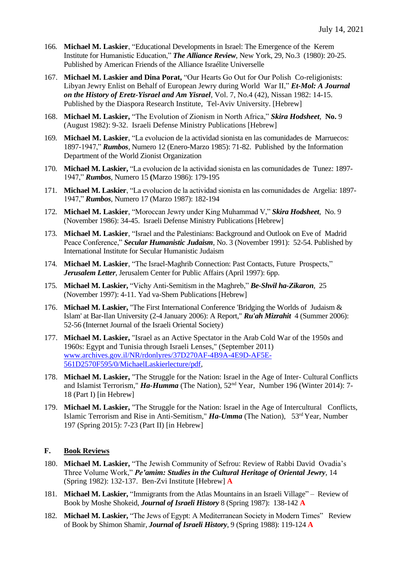- 166. **Michael M. Laskier**, "Educational Developments in Israel: The Emergence of the Kerem Institute for Humanistic Education," *The Alliance Review*, New York, 29, No.3 (1980): 20-25. Published by American Friends of the Alliance Israélite Universelle
- 167. **Michael M. Laskier and Dina Porat,** "Our Hearts Go Out for Our Polish Co-religionists: Libyan Jewry Enlist on Behalf of European Jewry during World War II," *Et-Mol: A Journal on the History of Eretz-Yisrael and Am Yisrael*, Vol. 7, No.4 (42), Nissan 1982: 14-15. Published by the Diaspora Research Institute, Tel-Aviv University. [Hebrew]
- 168. **Michael M. Laskier,** "The Evolution of Zionism in North Africa," *Skira Hodsheet*, **No.** 9 (August 1982): 9-32. Israeli Defense Ministry Publications [Hebrew]
- 169. **Michael M. Laskier**, "La evolucion de la actividad sionista en las comunidades de Marruecos: 1897-1947," *Rumbos,* Numero 12 (Enero-Marzo 1985): 71-82. Published by the Information Department of the World Zionist Organization
- 170. **Michael M. Laskier,** "La evolucion de la actividad sionista en las comunidades de Tunez: 1897- 1947," *Rumbos*, Numero 15 **(**Marzo 1986): 179-195
- 171. **Michael M. Laskier**, "La evolucion de la actividad sionista en las comunidades de Argelia: 1897- 1947," *Rumbos*, Numero 17 (Marzo 1987): 182-194
- 172. **Michael M. Laskier**, "Moroccan Jewry under King Muhammad V," *Skira Hodsheet*, No. 9 (November 1986): 34-45. Israeli Defense Ministry Publications [Hebrew]
- 173. **Michael M. Laskier**, "Israel and the Palestinians: Background and Outlook on Eve of Madrid Peace Conference," *Secular Humanistic Judaism*, No. 3 (November 1991): 52-54. Published by International Institute for Secular Humanistic Judaism
- 174. **Michael M. Laskier**, "The Israel-Maghrib Connection: Past Contacts, Future Prospects," *Jerusalem Letter*, Jerusalem Center for Public Affairs (April 1997): 6pp.
- 175. **Michael M. Laskier,** "Vichy Anti-Semitism in the Maghreb," *Be-Shvil ha-Zikaron,* 25 (November 1997): 4-11. Yad va-Shem Publications [Hebrew]
- 176. **Michael M. Laskier,** "The First International Conference 'Bridging the Worlds of Judaism & Islam' at Bar-Ilan University (2-4 January 2006): A Report," *Ru'ah Mizrahit* 4 (Summer 2006): 52-56 (Internet Journal of the Israeli Oriental Society)
- 177. **Michael M. Laskier,** "Israel as an Active Spectator in the Arab Cold War of the 1950s and 1960s: Egypt and Tunisia through Israeli Lenses," (September 2011) [www.archives.gov.il/NR/rdonlyres/37D270AF-4B9A-4E9D-AF5E-](http://www.archives.gov.il/NR/rdonlyres/37D270AF-4B9A-4E9D-AF5E-561D2570F595/0/MichaelLaskierlecture/pdf)[561D2570F595/0/MichaelLaskierlecture/pdf,](http://www.archives.gov.il/NR/rdonlyres/37D270AF-4B9A-4E9D-AF5E-561D2570F595/0/MichaelLaskierlecture/pdf)
- 178. **Michael M. Laskier,** "The Struggle for the Nation: Israel in the Age of Inter- Cultural Conflicts and Islamist Terrorism," *Ha-Humma* (The Nation),  $52<sup>nd</sup>$  Year, Number 196 (Winter 2014): 7-18 (Part I) [in Hebrew]
- 179. **Michael M. Laskier,** "The Struggle for the Nation: Israel in the Age of Intercultural Conflicts, Islamic Terrorism and Rise in Anti-Semitism," *Ha-Umma* (The Nation), 53<sup>rd</sup> Year, Number 197 (Spring 2015): 7-23 (Part II) [in Hebrew]

## **F. Book Reviews**

- 180. **Michael M. Laskier,** "The Jewish Community of Sefrou: Review of Rabbi David Ovadia's Three Volume Work," *Pe'amim: Studies in the Cultural Heritage of Oriental Jewry*, 14 (Spring 1982): 132-137. Ben-Zvi Institute [Hebrew] **A**
- 181. **Michael M. Laskier,** "Immigrants from the Atlas Mountains in an Israeli Village" Review of Book by Moshe Shokeid, *Journal of Israeli History* 8 (Spring 1987): 138-142 **A**
- 182. **Michael M. Laskier,** "The Jews of Egypt: A Mediterranean Society in Modern Times" Review of Book by Shimon Shamir, *Journal of Israeli History*, 9 (Spring 1988): 119-124 **A**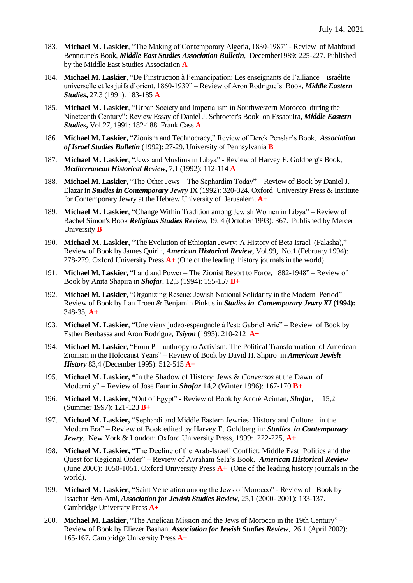- 183. **Michael M. Laskier**, "The Making of Contemporary Algeria, 1830-1987" Review of Mahfoud Bennoune's Book, *Middle East Studies Association Bulletin*, December1989: 225-227. Published by the Middle East Studies Association **A**
- 184. **Michael M. Laskier**, "De l'instruction à l'emancipation: Les enseignants de l'alliance israélite universelle et les juifs d'orient, 1860-1939" *–* Review of Aron Rodrigue's Book, *Middle Eastern Studies***,** 27,3 (1991): 183-185 **A**
- 185. **Michael M. Laskier**, "Urban Society and Imperialism in Southwestern Morocco during the Nineteenth Century": Review Essay of Daniel J. Schroeter's Book on Essaouira, *Middle Eastern Studies***,** Vol.27, 1991: 182-188. Frank Cass **A**
- 186. **Michael M. Laskier,** "Zionism and Technocracy," Review of Derek Penslar's Book, *Association of Israel Studies Bulletin* (1992): 27-29. University of Pennsylvania **B**
- 187. **Michael M. Laskier**, "Jews and Muslims in Libya" Review of Harvey E. Goldberg's Book*, Mediterranean Historical Review***,** 7,1 (1992): 112-114 **A**
- 188. **Michael M. Laskier,** "The Other Jews The Sephardim Today" Review of Book by Daniel J. Elazar in *Studies in Contemporary Jewry* IX (1992): 320-324. Oxford University Press & Institute for Contemporary Jewry at the Hebrew University of Jerusalem, **A+**
- 189. **Michael M. Laskier**, "Change Within Tradition among Jewish Women in Libya" Review of Rachel Simon's Book *Religious Studies Review*, 19. 4 (October 1993): 367. Published by Mercer University **B**
- 190. **Michael M. Laskier**, "The Evolution of Ethiopian Jewry: A History of Beta Israel (Falasha)," Review of Book by James Quirin, *American Historical Review*, Vol.99, No.1 (February 1994): 278-279. Oxford University Press **A+** (One of the leading history journals in the world)
- 191. **Michael M. Laskier,** "Land and Power The Zionist Resort to Force, 1882-1948" Review of Book by Anita Shapira in *Shofar*, 12,3 (1994): 155-157 **B+**
- 192. **Michael M. Laskier,** "Organizing Rescue: Jewish National Solidarity in the Modern Period" Review of Book by Ilan Troen & Benjamin Pinkus in *Studies in Contemporary Jewry XI* **(1994):** 348-35, **A+**
- 193. **Michael M. Laskier**, "Une vieux judeo-espangnole à l'est: Gabriel Arié" Review of Book by Esther Benbassa and Aron Rodrigue, *Tsiyon* (1995): 210-212 **A+**
- 194. **Michael M. Laskier,** "From Philanthropy to Activism: The Political Transformation of American Zionism in the Holocaust Years" – Review of Book by David H. Shpiro in *American Jewish History* 83,4 (December 1995): 512-515 **A+**
- 195. **Michael M. Laskier, "**In the Shadow of History: Jews & *Conversos* at the Dawn of Modernity" – Review of Jose Faur in *Shofar* 14,2 (Winter 1996): 167-170 **B+**
- 196. **Michael M. Laskier**, "Out of Egypt" Review of Book by André Aciman, *Shofar*, 15,2 (Summer 1997): 121-123 **B+**
- 197. **Michael M. Laskier,** "Sephardi and Middle Eastern Jewries: History and Culture in the Modern Era" – Review of Book edited by Harvey E. Goldberg in: *Studies in Contemporary Jewry*. New York & London: Oxford University Press, 1999: 222-225, **A+**
- 198. **Michael M. Laskier,** "The Decline of the Arab-Israeli Conflict: Middle East Politics and the Quest for Regional Order" – Review of Avraham Sela's Book, *American Historical Review* (June 2000): 1050-1051. Oxford University Press **A+** (One of the leading history journals in the world).
- 199. **Michael M. Laskier**, "Saint Veneration among the Jews of Morocco" Review of Book by Issachar Ben-Ami, *Association for Jewish Studies Review*, 25,1 (2000- 2001): 133-137. Cambridge University Press **A+**
- 200. **Michael M. Laskier,** "The Anglican Mission and the Jews of Morocco in the 19th Century" Review of Book by Eliezer Bashan, *Association for Jewish Studies Review*, 26,1 (April 2002): 165-167. Cambridge University Press **A+**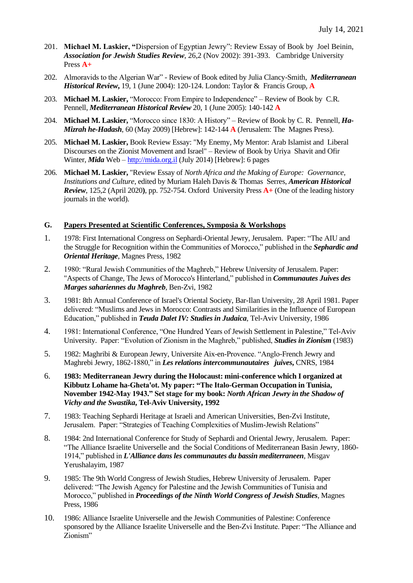- 201. **Michael M. Laskier, "**Dispersion of Egyptian Jewry": Review Essay of Book by Joel Beinin, *Association for Jewish Studies Review*, 26,2 (Nov 2002): 391-393. Cambridge University Press **A+**
- 202. Almoravids to the Algerian War" Review of Book edited by Julia Clancy-Smith, *Mediterranean Historical Review***,** 19, 1 (June 2004): 120-124. London: Taylor & Francis Group, **A**
- 203. **Michael M. Laskier,** "Morocco: From Empire to Independence" Review of Book by C.R. Pennell, *Mediterranean Historical Review* 20, 1 (June 2005): 140-142 **A**
- 204. **Michael M. Laskier,** "Morocco since 1830: A History" Review of Book by C. R. Pennell, *Ha-Mizrah he-Hadash*, 60 (May 2009) [Hebrew]: 142-144 **A** (Jerusalem: The Magnes Press).
- 205. **Michael M. Laskier,** Book Review Essay: "My Enemy, My Mentor: Arab Islamist and Liberal Discourses on the Zionist Movement and Israel" – Review of Book by Uriya Shavit and Ofir Winter, *Mida* Web – [http://mida.org.il](http://mida.org.il/) (July 2014) [Hebrew]: 6 pages
- 206. **Michael M. Laskier,** "Review Essay of *North Africa and the Making of Europe: Governance, Institutions and Culture*, edited by Muriam Haleh Davis & Thomas Serres, *American Historical Review*, 125,2 (April 2020**)**, pp. 752-754. Oxford University Press **A+** (One of the leading history journals in the world).

#### **G. Papers Presented at Scientific Conferences, Symposia & Workshops**

- 1. 1978: First International Congress on Sephardi-Oriental Jewry, Jerusalem. Paper: "The AIU and the Struggle for Recognition within the Communities of Morocco," published in the *Sephardic and Oriental Heritage*, Magnes Press, 1982
- 2. 1980: "Rural Jewish Communities of the Maghreb," Hebrew University of Jerusalem. Paper: "Aspects of Change, The Jews of Morocco's Hinterland," published in *Communautes Juives des Marges sahariennes du Maghreb*, Ben-Zvi, 1982
- 3. 1981: 8th Annual Conference of Israel's Oriental Society, Bar-Ilan University, 28 April 1981. Paper delivered: "Muslims and Jews in Morocco: Contrasts and Similarities in the Influence of European Education," published in *Teuda Dalet IV: Studies in Judaica*, Tel-Aviv University, 1986
- 4. 1981: International Conference, "One Hundred Years of Jewish Settlement in Palestine," Tel-Aviv University. Paper: "Evolution of Zionism in the Maghreb," published, *Studies in Zionism* (1983)
- 5. 1982: Maghribi & European Jewry, Universite Aix-en-Provence. "Anglo-French Jewry and Maghrebi Jewry, 1862-1880," in *Les relations intercommunautaires juives***,** CNRS, 1984
- 6. **1983: Mediterranean Jewry during the Holocaust: mini-conference which I organized at Kibbutz Lohame ha-Gheta'ot. My paper: "The Italo-German Occupation in Tunisia, November 1942-May 1943." Set stage for my book:** *North African Jewry in the Shadow of Vichy and the Swastika***, Tel-Aviv University, 1992**
- 7. 1983: Teaching Sephardi Heritage at Israeli and American Universities, Ben-Zvi Institute, Jerusalem. Paper: "Strategies of Teaching Complexities of Muslim-Jewish Relations"
- 8. 1984: 2nd International Conference for Study of Sephardi and Oriental Jewry, Jerusalem. Paper: "The Alliance Israelite Universelle and the Social Conditions of Mediterranean Basin Jewry, 1860- 1914," published in *L'Alliance dans les communautes du bassin mediterraneen*, Misgav Yerushalayim, 1987
- 9. 1985: The 9th World Congress of Jewish Studies, Hebrew University of Jerusalem. Paper delivered: "The Jewish Agency for Palestine and the Jewish Communities of Tunisia and Morocco," published in *Proceedings of the Ninth World Congress of Jewish Studies*, Magnes Press, 1986
- 10. 1986: Alliance Israelite Universelle and the Jewish Communities of Palestine: Conference sponsored by the Alliance Israelite Universelle and the Ben-Zvi Institute. Paper: "The Alliance and Zionism"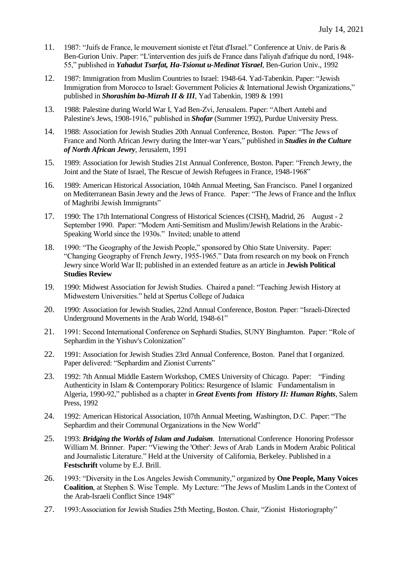- 11. 1987: "Juifs de France, le mouvement sioniste et l'état d'Israel." Conference at Univ. de Paris & Ben-Gurion Univ. Paper: "L'intervention des juifs de France dans l'aliyah d'afrique du nord, 1948- 55," published in *Yahadut Tsarfat, Ha-Tsionut u-Medinat Yisrael*, Ben-Gurion Univ., 1992
- 12. 1987: Immigration from Muslim Countries to Israel: 1948-64. Yad-Tabenkin. Paper: "Jewish Immigration from Morocco to Israel: Government Policies & International Jewish Organizations," published in *Shorashim ba-Mizrah II & III*, Yad Tabenkin, 1989 & 1991
- 13. 1988: Palestine during World War I, Yad Ben-Zvi, Jerusalem. Paper: "Albert Antebi and Palestine's Jews, 1908-1916," published in *Shofar* (Summer 1992), Purdue University Press.
- 14. 1988: Association for Jewish Studies 20th Annual Conference, Boston. Paper: "The Jews of France and North African Jewry during the Inter-war Years," published in *Studies in the Culture of North African Jewry*, Jerusalem, 1991
- 15. 1989: Association for Jewish Studies 21st Annual Conference, Boston. Paper: "French Jewry, the Joint and the State of Israel, The Rescue of Jewish Refugees in France, 1948-1968"
- 16. 1989: American Historical Association, 104th Annual Meeting, San Francisco. Panel I organized on Mediterranean Basin Jewry and the Jews of France. Paper: "The Jews of France and the Influx of Maghribi Jewish Immigrants"
- 17. 1990: The 17th International Congress of Historical Sciences (CISH), Madrid, 26 August 2 September 1990. Paper: "Modern Anti-Semitism and Muslim/Jewish Relations in the Arabic-Speaking World since the 1930s." Invited; unable to attend
- 18. 1990: "The Geography of the Jewish People," sponsored by Ohio State University. Paper: "Changing Geography of French Jewry, 1955-1965." Data from research on my book on French Jewry since World War II; published in an extended feature as an article in **Jewish Political Studies Review**
- 19. 1990: Midwest Association for Jewish Studies. Chaired a panel: "Teaching Jewish History at Midwestern Universities." held at Spertus College of Judaica
- 20. 1990: Association for Jewish Studies, 22nd Annual Conference, Boston. Paper: "Israeli-Directed Underground Movements in the Arab World, 1948-61"
- 21. 1991: Second International Conference on Sephardi Studies, SUNY Binghamton. Paper: "Role of Sephardim in the Yishuv's Colonization"
- 22. 1991: Association for Jewish Studies 23rd Annual Conference, Boston. Panel that I organized. Paper delivered: "Sephardim and Zionist Currents"
- 23. 1992: 7th Annual Middle Eastern Workshop, CMES University of Chicago. Paper: "Finding Authenticity in Islam & Contemporary Politics: Resurgence of Islamic Fundamentalism in Algeria, 1990-92," published as a chapter in *Great Events from History II: Human Rights*, Salem Press, 1992
- 24. 1992: American Historical Association, 107th Annual Meeting, Washington, D.C. Paper: "The Sephardim and their Communal Organizations in the New World"
- 25. 1993: *Bridging the Worlds of Islam and Judaism*. International Conference Honoring Professor William M. Brinner. Paper: "Viewing the 'Other': Jews of Arab Lands in Modern Arabic Political and Journalistic Literature." Held at the University of California, Berkeley. Published in a **Festschrift** volume by E.J. Brill.
- 26. 1993: "Diversity in the Los Angeles Jewish Community," organized by **One People, Many Voices Coalition**, at Stephen S. Wise Temple. My Lecture: "The Jews of Muslim Lands in the Context of the Arab-Israeli Conflict Since 1948"
- 27. 1993:Association for Jewish Studies 25th Meeting, Boston. Chair, "Zionist Historiography"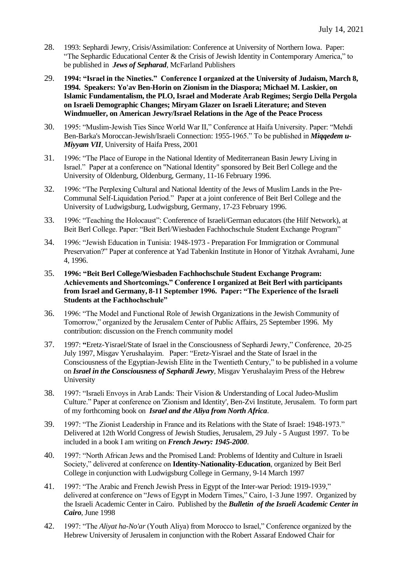- 28. 1993: Sephardi Jewry, Crisis/Assimilation: Conference at University of Northern Iowa. Paper: "The Sephardic Educational Center & the Crisis of Jewish Identity in Contemporary America," to be published in *Jews of Sepharad*, McFarland Publishers
- 29. **1994: "Israel in the Nineties." Conference I organized at the University of Judaism, March 8, 1994. Speakers: Yo'av Ben-Horin on Zionism in the Diaspora; Michael M. Laskier, on Islamic Fundamentalism, the PLO, Israel and Moderate Arab Regimes; Sergio Della Pergola on Israeli Demographic Changes; Miryam Glazer on Israeli Literature; and Steven Windmueller, on American Jewry/Israel Relations in the Age of the Peace Process**
- 30. 1995: "Muslim-Jewish Ties Since World War II," Conference at Haifa University. Paper: "Mehdi Ben-Barka's Moroccan-Jewish/Israeli Connection: 1955-1965." To be published in *Miqqedem u-Miyyam VII*, University of Haifa Press, 2001
- 31. 1996: "The Place of Europe in the National Identity of Mediterranean Basin Jewry Living in Israel." Paper at a conference on "National Identity" sponsored by Beit Berl College and the University of Oldenburg, Oldenburg, Germany, 11-16 February 1996.
- 32. 1996: "The Perplexing Cultural and National Identity of the Jews of Muslim Lands in the Pre-Communal Self-Liquidation Period." Paper at a joint conference of Beit Berl College and the University of Ludwigsburg, Ludwigsburg, Germany, 17-23 February 1996.
- 33. 1996: "Teaching the Holocaust": Conference of Israeli/German educators (the Hilf Network), at Beit Berl College. Paper: "Beit Berl/Wiesbaden Fachhochschule Student Exchange Program"
- 34. 1996: "Jewish Education in Tunisia: 1948-1973 Preparation For Immigration or Communal Preservation?" Paper at conference at Yad Tabenkin Institute in Honor of Yitzhak Avrahami, June 4, 1996.
- 35. **1996: "Beit Berl College/Wiesbaden Fachhochschule Student Exchange Program: Achievements and Shortcomings." Conference I organized at Beit Berl with participants from Israel and Germany, 8-11 September 1996. Paper: "The Experience of the Israeli Students at the Fachhochschule"**
- 36. 1996: "The Model and Functional Role of Jewish Organizations in the Jewish Community of Tomorrow," organized by the Jerusalem Center of Public Affairs, 25 September 1996. My contribution: discussion on the French community model
- 37. 1997: **"**Eretz-Yisrael/State of Israel in the Consciousness of Sephardi Jewry," Conference, 20-25 July 1997, Misgav Yerushalayim. Paper: "Eretz-Yisrael and the State of Israel in the Consciousness of the Egyptian-Jewish Elite in the Twentieth Century," to be published in a volume on *Israel in the Consciousness of Sephardi Jewry*, Misgav Yerushalayim Press of the Hebrew University
- 38. 1997: "Israeli Envoys in Arab Lands: Their Vision & Understanding of Local Judeo-Muslim Culture." Paper at conference on 'Zionism and Identity', Ben-Zvi Institute, Jerusalem. To form part of my forthcoming book on *Israel and the Aliya from North Africa*.
- 39. 1997: "The Zionist Leadership in France and its Relations with the State of Israel: 1948-1973." Delivered at 12th World Congress of Jewish Studies, Jerusalem, 29 July - 5 August 1997. To be included in a book I am writing on *French Jewry: 1945-2000*.
- 40. 1997: "North African Jews and the Promised Land: Problems of Identity and Culture in Israeli Society," delivered at conference on **Identity-Nationality-Education**, organized by Beit Berl College in conjunction with Ludwigsburg College in Germany, 9-14 March 1997
- 41. 1997: "The Arabic and French Jewish Press in Egypt of the Inter-war Period: 1919-1939," delivered at conference on "Jews of Egypt in Modern Times," Cairo, 1-3 June 1997. Organized by the Israeli Academic Center in Cairo. Published by the *Bulletin of the Israeli Academic Center in Cairo*, June 1998
- 42. 1997: "The *Aliyat ha-No'ar* (Youth Aliya) from Morocco to Israel," Conference organized by the Hebrew University of Jerusalem in conjunction with the Robert Assaraf Endowed Chair for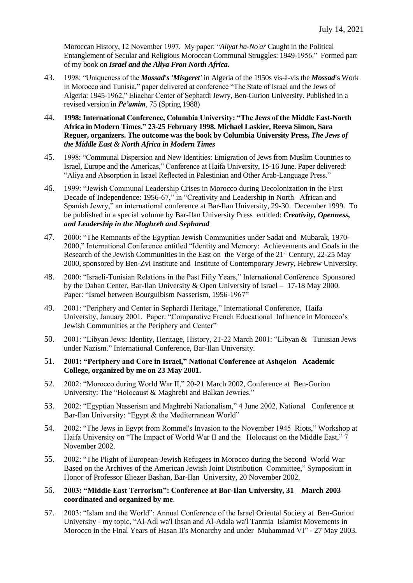Moroccan History, 12 November 1997. My paper: "*Aliyat ha-No'ar* Caught in the Political Entanglement of Secular and Religious Moroccan Communal Struggles: 1949-1956." Formed part of my book on *Israel and the Aliya Fron North Africa***.** 

- 43. 1998: "Uniqueness of the *Mossad's 'Misgeret'* in Algeria of the 1950s vis-à-vis the *Mossad***'s** Work in Morocco and Tunisia," paper delivered at conference "The State of Israel and the Jews of Algeria: 1945-1962," Eliachar Center of Sephardi Jewry, Ben-Gurion University. Published in a revised version in *Pe'amim*, 75 (Spring 1988)
- 44. **1998: International Conference, Columbia University: "The Jews of the Middle East-North Africa in Modern Times." 23-25 February 1998. Michael Laskier, Reeva Simon, Sara Reguer, organizers. The outcome was the book by Columbia University Press,** *The Jews of the Middle East & North Africa in Modern Times*
- 45. 1998: "Communal Dispersion and New Identities: Emigration of Jews from Muslim Countries to Israel, Europe and the Americas," Conference at Haifa University, 15-16 June. Paper delivered: "Aliya and Absorption in Israel Reflected in Palestinian and Other Arab-Language Press."
- 46. 1999: "Jewish Communal Leadership Crises in Morocco during Decolonization in the First Decade of Independence: 1956-67," in "Creativity and Leadership in North African and Spanish Jewry," an international conference at Bar-Ilan University, 29-30. December 1999. To be published in a special volume by Bar-Ilan University Press entitled: *Creativity, Openness, and Leadership in the Maghreb and Sepharad*
- 47. 2000: "The Remnants of the Egyptian Jewish Communities under Sadat and Mubarak, 1970- 2000," International Conference entitled "Identity and Memory: Achievements and Goals in the Research of the Jewish Communities in the East on the Verge of the 21st Century, 22-25 May 2000, sponsored by Ben-Zvi Institute and Institute of Contemporary Jewry, Hebrew University.
- 48. 2000: "Israeli-Tunisian Relations in the Past Fifty Years," International Conference Sponsored by the Dahan Center, Bar-Ilan University & Open University of Israel – 17-18 May 2000. Paper: "Israel between Bourguibism Nasserism, 1956-1967"
- 49. 2001: "Periphery and Center in Sephardi Heritage," International Conference, Haifa University, January 2001. Paper: "Comparative French Educational Influence in Morocco's Jewish Communities at the Periphery and Center"
- 50. 2001: "Libyan Jews: Identity, Heritage, History, 21-22 March 2001: "Libyan & Tunisian Jews under Nazism." International Conference, Bar-Ilan University.
- 51. **2001: "Periphery and Core in Israel," National Conference at Ashqelon Academic College, organized by me on 23 May 2001.**
- 52. 2002: "Morocco during World War II," 20-21 March 2002, Conference at Ben-Gurion University: The "Holocaust & Maghrebi and Balkan Jewries."
- 53. 2002: "Egyptian Nasserism and Maghrebi Nationalism," 4 June 2002, National Conference at Bar-Ilan University: "Egypt & the Mediterranean World"
- 54. 2002: "The Jews in Egypt from Rommel's Invasion to the November 1945 Riots," Workshop at Haifa University on "The Impact of World War II and the Holocaust on the Middle East," 7 November 2002.
- 55. 2002: "The Plight of European-Jewish Refugees in Morocco during the Second World War Based on the Archives of the American Jewish Joint Distribution Committee," Symposium in Honor of Professor Eliezer Bashan, Bar-Ilan University, 20 November 2002.

## 56. **2003: "Middle East Terrorism": Conference at Bar-Ilan University, 31 March 2003 coordinated and organized by me**.

57. 2003: "Islam and the World": Annual Conference of the Israel Oriental Society at Ben-Gurion University - my topic, "Al-Adl wa'l Ihsan and Al-Adala wa'l Tanmia Islamist Movements in Morocco in the Final Years of Hasan II's Monarchy and under Muhammad VI" - 27 May 2003.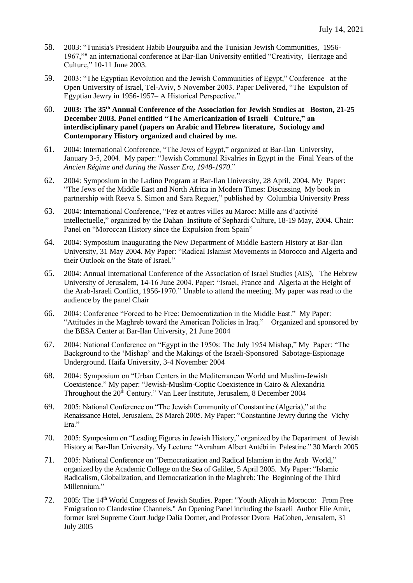- 58. 2003: "Tunisia's President Habib Bourguiba and the Tunisian Jewish Communities, 1956- 1967,"" an international conference at Bar-Ilan University entitled "Creativity, Heritage and Culture," 10-11 June 2003.
- 59. 2003: "The Egyptian Revolution and the Jewish Communities of Egypt," Conference at the Open University of Israel, Tel-Aviv, 5 November 2003. Paper Delivered, "The Expulsion of Egyptian Jewry in 1956-1957– A Historical Perspective."
- 60. **2003: The 35th Annual Conference of the Association for Jewish Studies at Boston, 21-25 December 2003. Panel entitled "The Americanization of Israeli Culture," an interdisciplinary panel (papers on Arabic and Hebrew literature, Sociology and Contemporary History organized and chaired by me.**
- 61. 2004: International Conference, "The Jews of Egypt," organized at Bar-Ilan University, January 3-5, 2004. My paper: "Jewish Communal Rivalries in Egypt in the Final Years of the *Ancien Régime and during the Nasser Era, 1948-1970*."
- 62. 2004: Symposium in the Ladino Program at Bar-Ilan University, 28 April, 2004. My Paper: "The Jews of the Middle East and North Africa in Modern Times: Discussing My book in partnership with Reeva S. Simon and Sara Reguer," published by Columbia University Press
- 63. 2004: International Conference, "Fez et autres villes au Maroc: Mille ans d'activité intellectuelle," organized by the Dahan Institute of Sephardi Culture, 18-19 May, 2004. Chair: Panel on "Moroccan History since the Expulsion from Spain"
- 64. 2004: Symposium Inaugurating the New Department of Middle Eastern History at Bar-Ilan University, 31 May 2004. My Paper: "Radical Islamist Movements in Morocco and Algeria and their Outlook on the State of Israel."
- 65. 2004: Annual International Conference of the Association of Israel Studies (AIS), The Hebrew University of Jerusalem, 14-16 June 2004. Paper: "Israel, France and Algeria at the Height of the Arab-Israeli Conflict, 1956-1970." Unable to attend the meeting. My paper was read to the audience by the panel Chair
- 66. 2004: Conference "Forced to be Free: Democratization in the Middle East." My Paper: "Attitudes in the Maghreb toward the American Policies in Iraq." Organized and sponsored by the BESA Center at Bar-Ilan University, 21 June 2004
- 67. 2004: National Conference on "Egypt in the 1950s: The July 1954 Mishap," My Paper: "The Background to the 'Mishap' and the Makings of the Israeli-Sponsored Sabotage-Espionage Underground. Haifa University, 3-4 November 2004
- 68. 2004: Symposium on "Urban Centers in the Mediterranean World and Muslim-Jewish Coexistence." My paper: "Jewish-Muslim-Coptic Coexistence in Cairo & Alexandria Throughout the 20<sup>th</sup> Century." Van Leer Institute, Jerusalem, 8 December 2004
- 69. 2005: National Conference on "The Jewish Community of Constantine (Algeria)," at the Renaissance Hotel, Jerusalem, 28 March 2005. My Paper: "Constantine Jewry during the Vichy Era."
- 70. 2005: Symposium on "Leading Figures in Jewish History," organized by the Department of Jewish History at Bar-Ilan University. My Lecture: "Avraham Albert Antébi in Palestine." 30 March 2005
- 71. 2005: National Conference on "Democratization and Radical Islamism in the Arab World," organized by the Academic College on the Sea of Galilee, 5 April 2005. My Paper: "Islamic Radicalism, Globalization, and Democratization in the Maghreb: The Beginning of the Third Millennium."
- 72. 2005: The 14<sup>th</sup> World Congress of Jewish Studies. Paper: "Youth Aliyah in Morocco: From Free Emigration to Clandestine Channels." An Opening Panel including the Israeli Author Elie Amir, former Isrel Supreme Court Judge Dalia Dorner, and Professor Dvora HaCohen, Jerusalem, 31 July 2005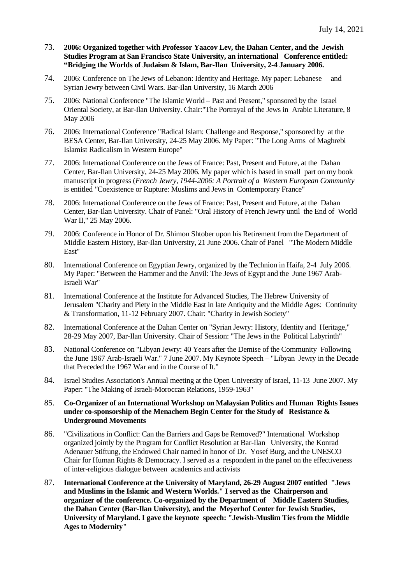- 73. **2006: Organized together with Professor Yaacov Lev, the Dahan Center, and the Jewish Studies Program at San Francisco State University, an international Conference entitled: "Bridging the Worlds of Judaism & Islam, Bar-Ilan University, 2-4 January 2006.**
- 74. 2006: Conference on The Jews of Lebanon: Identity and Heritage. My paper: Lebanese and Syrian Jewry between Civil Wars. Bar-Ilan University, 16 March 2006
- 75. 2006: National Conference "The Islamic World Past and Present," sponsored by the Israel Oriental Society, at Bar-Ilan University. Chair:"The Portrayal of the Jews in Arabic Literature, 8 May 2006
- 76. 2006: International Conference "Radical Islam: Challenge and Response," sponsored by at the BESA Center, Bar-Ilan University, 24-25 May 2006. My Paper: "The Long Arms of Maghrebi Islamist Radicalism in Western Europe"
- 77. 2006: International Conference on the Jews of France: Past, Present and Future, at the Dahan Center, Bar-Ilan University, 24-25 May 2006. My paper which is based in small part on my book manuscript in progress (*French Jewry, 1944-2006: A Portrait of a Western European Community* is entitled *"*Coexistence or Rupture: Muslims and Jews in Contemporary France"
- 78. 2006: International Conference on the Jews of France: Past, Present and Future, at the Dahan Center, Bar-Ilan University. Chair of Panel: "Oral History of French Jewry until the End of World War II," 25 May 2006.
- 79. 2006: Conference in Honor of Dr. Shimon Shtober upon his Retirement from the Department of Middle Eastern History, Bar-Ilan University, 21 June 2006. Chair of Panel "The Modern Middle East"
- 80. International Conference on Egyptian Jewry, organized by the Technion in Haifa, 2-4 July 2006. My Paper: "Between the Hammer and the Anvil: The Jews of Egypt and the June 1967 Arab-Israeli War"
- 81. International Conference at the Institute for Advanced Studies, The Hebrew University of Jerusalem "Charity and Piety in the Middle East in late Antiquity and the Middle Ages: Continuity & Transformation, 11-12 February 2007. Chair: "Charity in Jewish Society"
- 82. International Conference at the Dahan Center on "Syrian Jewry: History, Identity and Heritage," 28-29 May 2007, Bar-Ilan University. Chair of Session: "The Jews in the Political Labyrinth"
- 83. National Conference on "Libyan Jewry: 40 Years after the Demise of the Community Following the June 1967 Arab-Israeli War." 7 June 2007. My Keynote Speech – "Libyan Jewry in the Decade that Preceded the 1967 War and in the Course of It."
- 84. Israel Studies Association's Annual meeting at the Open University of Israel, 11-13 June 2007. My Paper: "The Making of Israeli-Moroccan Relations, 1959-1963"
- 85. **Co-Organizer of an International Workshop on Malaysian Politics and Human Rights Issues under co-sponsorship of the Menachem Begin Center for the Study of Resistance & Underground Movements**
- 86. "Civilizations in Conflict: Can the Barriers and Gaps be Removed?" International Workshop organized jointly by the Program for Conflict Resolution at Bar-Ilan University, the Konrad Adenauer Stiftung, the Endowed Chair named in honor of Dr. Yosef Burg, and the UNESCO Chair for Human Rights & Democracy. I served as a respondent in the panel on the effectiveness of inter-religious dialogue between academics and activists
- 87. **International Conference at the University of Maryland, 26-29 August 2007 entitled "Jews and Muslims in the Islamic and Western Worlds." I served as the Chairperson and organizer of the conference. Co-organized by the Department of Middle Eastern Studies, the Dahan Center (Bar-Ilan University), and the Meyerhof Center for Jewish Studies, University of Maryland. I gave the keynote speech: "Jewish-Muslim Ties from the Middle Ages to Modernity"**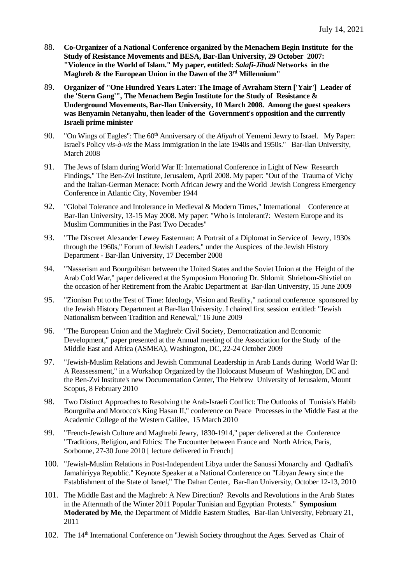- 88. **Co-Organizer of a National Conference organized by the Menachem Begin Institute for the Study of Resistance Movements and BESA, Bar-Ilan University, 29 October 2007: "Violence in the World of Islam." My paper, entitled:** *Salafi-Jihadi* **Networks in the Maghreb & the European Union in the Dawn of the 3 rd Millennium"**
- 89. **Organizer of "One Hundred Years Later: The Image of Avraham Stern ['Yair'] Leader of the 'Stern Gang'", The Menachem Begin Institute for the Study of Resistance & Underground Movements, Bar-Ilan University, 10 March 2008. Among the guest speakers was Benyamin Netanyahu, then leader of the Government's opposition and the currently Israeli prime minister**
- 90. "On Wings of Eagles": The 60<sup>th</sup> Anniversary of the *Aliyah* of Yememi Jewry to Israel. My Paper: Israel's Policy *vis-à-vis* the Mass Immigration in the late 1940s and 1950s." Bar-Ilan University, March 2008
- 91. The Jews of Islam during World War II: International Conference in Light of New Research Findings," The Ben-Zvi Institute, Jerusalem, April 2008. My paper: "Out of the Trauma of Vichy and the Italian-German Menace: North African Jewry and the World Jewish Congress Emergency Conference in Atlantic City, November 1944
- 92. "Global Tolerance and Intolerance in Medieval & Modern Times," International Conference at Bar-Ilan University, 13-15 May 2008. My paper: "Who is Intolerant?: Western Europe and its Muslim Communities in the Past Two Decades"
- 93. "The Discreet Alexander Lewey Easterman: A Portrait of a Diplomat in Service of Jewry, 1930s through the 1960s," Forum of Jewish Leaders," under the Auspices of the Jewish History Department - Bar-Ilan University, 17 December 2008
- 94. "Nasserism and Bourguibism between the United States and the Soviet Union at the Height of the Arab Cold War," paper delivered at the Symposium Honoring Dr. Shlomit Shriebom-Shivtiel on the occasion of her Retirement from the Arabic Department at Bar-Ilan University, 15 June 2009
- 95. "Zionism Put to the Test of Time: Ideology, Vision and Reality," national conference sponsored by the Jewish History Department at Bar-Ilan University. I chaired first session entitled: "Jewish Nationalism between Tradition and Renewal," 16 June 2009
- 96. "The European Union and the Maghreb: Civil Society, Democratization and Economic Development," paper presented at the Annual meeting of the Association for the Study of the Middle East and Africa (ASMEA), Washington, DC, 22-24 October 2009
- 97. "Jewish-Muslim Relations and Jewish Communal Leadership in Arab Lands during World War II: A Reassessment," in a Workshop Organized by the Holocaust Museum of Washington, DC and the Ben-Zvi Institute's new Documentation Center, The Hebrew University of Jerusalem, Mount Scopus, 8 February 2010
- 98. Two Distinct Approaches to Resolving the Arab-Israeli Conflict: The Outlooks of Tunisia's Habib Bourguiba and Morocco's King Hasan II," conference on Peace Processes in the Middle East at the Academic College of the Western Galilee, 15 March 2010
- 99. "French-Jewish Culture and Maghrebi Jewry, 1830-1914," paper delivered at the Conference "Traditions, Religion, and Ethics: The Encounter between France and North Africa, Paris, Sorbonne, 27-30 June 2010 [ lecture delivered in French]
- 100. "Jewish-Muslim Relations in Post-Independent Libya under the Sanussi Monarchy and Qadhafi's Jamahiriyya Republic." Keynote Speaker at a National Conference on "Libyan Jewry since the Establishment of the State of Israel," The Dahan Center, Bar-Ilan University, October 12-13, 2010
- 101. The Middle East and the Maghreb: A New Direction? Revolts and Revolutions in the Arab States in the Aftermath of the Winter 2011 Popular Tunisian and Egyptian Protests." **Symposium Moderated by Me**, the Department of Middle Eastern Studies, Bar-Ilan University, February 21, 2011
- 102. The 14<sup>th</sup> International Conference on "Jewish Society throughout the Ages. Served as Chair of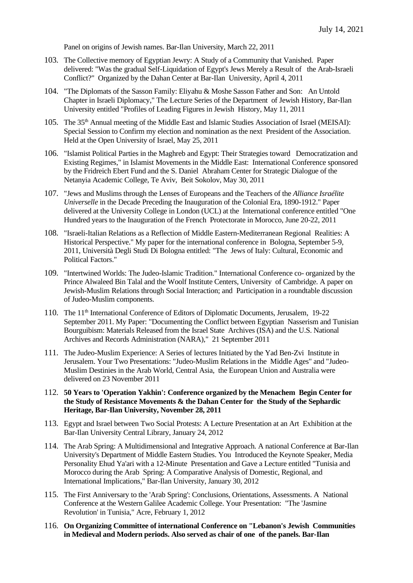Panel on origins of Jewish names. Bar-Ilan University, March 22, 2011

- 103. The Collective memory of Egyptian Jewry: A Study of a Community that Vanished. Paper delivered: "Was the gradual Self-Liquidation of Egypt's Jews Merely a Result of the Arab-Israeli Conflict?" Organized by the Dahan Center at Bar-Ilan University, April 4, 2011
- 104. "The Diplomats of the Sasson Family: Eliyahu & Moshe Sasson Father and Son: An Untold Chapter in Israeli Diplomacy," The Lecture Series of the Department of Jewish History, Bar-Ilan University entitled "Profiles of Leading Figures in Jewish History, May 11, 2011
- 105. The 35<sup>th</sup> Annual meeting of the Middle East and Islamic Studies Association of Israel (MEISAI): Special Session to Confirm my election and nomination as the next President of the Association. Held at the Open University of Israel, May 25, 2011
- 106. "Islamist Political Parties in the Maghreb and Egypt: Their Strategies toward Democratization and Existing Regimes," in Islamist Movements in the Middle East: International Conference sponsored by the Fridreich Ebert Fund and the S. Daniel Abraham Center for Strategic Dialogue of the Netanyia Academic College, Te Aviv, Beit Sokolov, May 30, 2011
- 107. "Jews and Muslims through the Lenses of Europeans and the Teachers of the *Alliance Israélite Universelle* in the Decade Preceding the Inauguration of the Colonial Era, 1890-1912." Paper delivered at the University College in London (UCL) at the International conference entitled "One Hundred years to the Inauguration of the French Protectorate in Morocco, June 20-22, 2011
- 108. "Israeli-Italian Relations as a Reflection of Middle Eastern-Mediterranean Regional Realities: A Historical Perspective." My paper for the international conference in Bologna, September 5-9, 2011, Università Degli Studi Di Bologna entitled: "The Jews of Italy: Cultural, Economic and Political Factors."
- 109. "Intertwined Worlds: The Judeo-Islamic Tradition." International Conference co- organized by the Prince Alwaleed Bin Talal and the Woolf Institute Centers, University of Cambridge. A paper on Jewish-Muslim Relations through Social Interaction; and Participation in a roundtable discussion of Judeo-Muslim components.
- 110. The 11th International Conference of Editors of Diplomatic Documents, Jerusalem, 19-22 September 2011. My Paper: "Documenting the Conflict between Egyptian Nasserism and Tunisian Bourguibism: Materials Released from the Israel State Archives (ISA) and the U.S. National Archives and Records Administration (NARA)," 21 September 2011
- 111. The Judeo-Muslim Experience: A Series of lectures Initiated by the Yad Ben-Zvi Institute in Jerusalem. Your Two Presentations: "Judeo-Muslim Relations in the Middle Ages" and "Judeo-Muslim Destinies in the Arab World, Central Asia, the European Union and Australia were delivered on 23 November 2011
- 112. **50 Years to 'Operation Yakhin': Conference organized by the Menachem Begin Center for the Study of Resistance Movements & the Dahan Center for the Study of the Sephardic Heritage, Bar-Ilan University, November 28, 2011**
- 113. Egypt and Israel between Two Social Protests: A Lecture Presentation at an Art Exhibition at the Bar-Ilan University Central Library, January 24, 2012
- 114. The Arab Spring: A Multidimensional and Integrative Approach. A national Conference at Bar-Ilan University's Department of Middle Eastern Studies. You Introduced the Keynote Speaker, Media Personality Ehud Ya'ari with a 12-Minute Presentation and Gave a Lecture entitled "Tunisia and Morocco during the Arab Spring: A Comparative Analysis of Domestic, Regional, and International Implications," Bar-Ilan University, January 30, 2012
- 115. The First Anniversary to the 'Arab Spring': Conclusions, Orientations, Assessments. A National Conference at the Western Galilee Academic College. Your Presentation: "The 'Jasmine Revolution' in Tunisia," Acre, February 1, 2012
- 116. **On Organizing Committee of international Conference on "Lebanon's Jewish Communities in Medieval and Modern periods. Also served as chair of one of the panels. Bar-Ilan**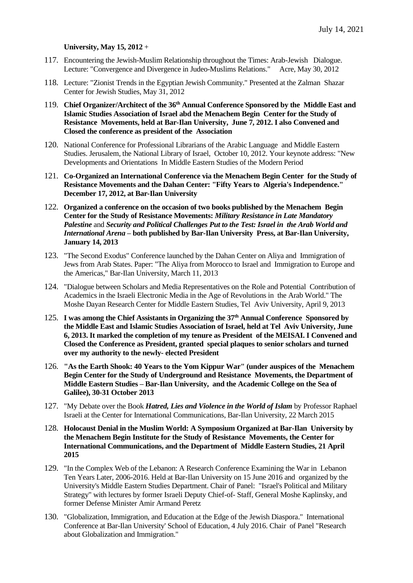#### **University, May 15, 2012** +

- 117. Encountering the Jewish-Muslim Relationship throughout the Times: Arab-Jewish Dialogue. Lecture: "Convergence and Divergence in Judeo-Muslims Relations." Acre, May 30, 2012
- 118. Lecture: "Zionist Trends in the Egyptian Jewish Community." Presented at the Zalman Shazar Center for Jewish Studies, May 31, 2012
- 119. **Chief Organizer/Architect of the 36 th Annual Conference Sponsored by the Middle East and Islamic Studies Association of Israel abd the Menachem Begin Center for the Study of Resistance Movements, held at Bar-Ilan University, June 7, 2012. I also Convened and Closed the conference as president of the Association**
- 120. National Conference for Professional Librarians of the Arabic Language and Middle Eastern Studies. Jerusalem, the National Library of Israel, October 10, 2012. Your keynote address: "New Developments and Orientations In Middle Eastern Studies of the Modern Period
- 121. **Co-Organized an International Conference via the Menachem Begin Center for the Study of Resistance Movements and the Dahan Center: "Fifty Years to Algeria's Independence." December 17, 2012, at Bar-Ilan University**
- 122. **Organized a conference on the occasion of two books published by the Menachem Begin Center for the Study of Resistance Movements:** *Military Resistance in Late Mandatory Palestine* and *Security and Political Challenges Put to the Test: Israel in the Arab World and International Arena* **– both published by Bar-Ilan University Press, at Bar-Ilan University, January 14, 2013**
- 123. "The Second Exodus" Conference launched by the Dahan Center on Aliya and Immigration of Jews from Arab States. Paper: "The Aliya from Morocco to Israel and Immigration to Europe and the Americas," Bar-Ilan University, March 11, 2013
- 124. "Dialogue between Scholars and Media Representatives on the Role and Potential Contribution of Academics in the Israeli Electronic Media in the Age of Revolutions in the Arab World." The Moshe Dayan Research Center for Middle Eastern Studies, Tel Aviv University, April 9, 2013
- 125. **I was among the Chief Assistants in Organizing the 37th Annual Conference Sponsored by the Middle East and Islamic Studies Association of Israel, held at Tel Aviv University, June 6, 2013. It marked the completion of my tenure as President of the MEISAI. I Convened and Closed the Conference as President, granted special plaques to senior scholars and turned over my authority to the newly- elected President**
- 126. **"As the Earth Shook: 40 Years to the Yom Kippur War" (under auspices of the Menachem Begin Center for the Study of Underground and Resistance Movements, the Department of Middle Eastern Studies – Bar-Ilan University, and the Academic College on the Sea of Galilee), 30-31 October 2013**
- 127. "My Debate over the Book *Hatred, Lies and Violence in the World of Islam* by Professor Raphael Israeli at the Center for International Communications, Bar-Ilan University, 22 March 2015
- 128. **Holocaust Denial in the Muslim World: A Symposium Organized at Bar-Ilan University by the Menachem Begin Institute for the Study of Resistance Movements, the Center for International Communications, and the Department of Middle Eastern Studies, 21 April 2015**
- 129. "In the Complex Web of the Lebanon: A Research Conference Examining the War in Lebanon Ten Years Later, 2006-2016. Held at Bar-Ilan University on 15 June 2016 and organized by the University's Middle Eastern Studies Department. Chair of Panel: "Israel's Political and Military Strategy" with lectures by former Israeli Deputy Chief-of- Staff, General Moshe Kaplinsky, and former Defense Minister Amir Armand Peretz
- 130. "Globalization, Immigration, and Education at the Edge of the Jewish Diaspora." International Conference at Bar-Ilan University' School of Education, 4 July 2016. Chair of Panel "Research about Globalization and Immigration."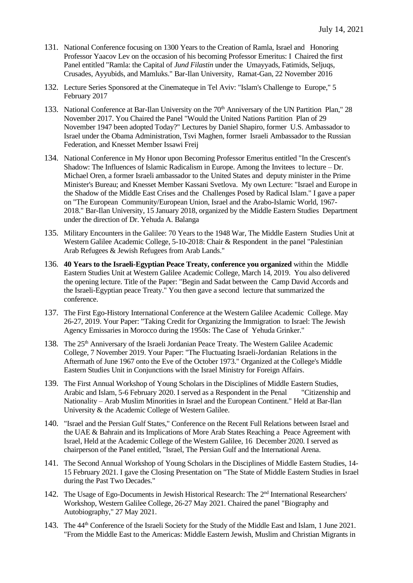- 131. National Conference focusing on 1300 Years to the Creation of Ramla, Israel and Honoring Professor Yaacov Lev on the occasion of his becoming Professor Emeritus: I Chaired the first Panel entitled "Ramla: the Capital of *Jund Filastin* under the Umayyads, Fatimids, Seljuqs, Crusades, Ayyubids, and Mamluks." Bar-Ilan University, Ramat-Gan, 22 November 2016
- 132. Lecture Series Sponsored at the Cinemateque in Tel Aviv: "Islam's Challenge to Europe," 5 February 2017
- 133. National Conference at Bar-Ilan University on the 70<sup>th</sup> Anniversary of the UN Partition Plan," 28 November 2017. You Chaired the Panel "Would the United Nations Partition Plan of 29 November 1947 been adopted Today?" Lectures by Daniel Shapiro, former U.S. Ambassador to Israel under the Obama Administration, Tsvi Maghen, former Israeli Ambassador to the Russian Federation, and Knesset Member Issawi Freij
- 134. National Conference in My Honor upon Becoming Professor Emeritus entitled "In the Crescent's Shadow: The Influences of Islamic Radicalism in Europe. Among the Invitees to lecture – Dr. Michael Oren, a former Israeli ambassador to the United States and deputy minister in the Prime Minister's Bureau; and Knesset Member Kassani Svetlova. My own Lecture: "Israel and Europe in the Shadow of the Middle East Crises and the Challenges Posed by Radical Islam." I gave a paper on "The European Community/European Union, Israel and the Arabo-Islamic World, 1967- 2018." Bar-Ilan University, 15 January 2018, organized by the Middle Eastern Studies Department under the direction of Dr. Yehuda A. Balanga
- 135. Military Encounters in the Galilee: 70 Years to the 1948 War, The Middle Eastern Studies Unit at Western Galilee Academic College, 5-10-2018: Chair & Respondent in the panel "Palestinian Arab Refugees & Jewish Refugees from Arab Lands."
- 136. **40 Years to the Israeli-Egyptian Peace Treaty, conference you organized** within the Middle Eastern Studies Unit at Western Galilee Academic College, March 14, 2019. You also delivered the opening lecture. Title of the Paper: "Begin and Sadat between the Camp David Accords and the Israeli-Egyptian peace Treaty." You then gave a second lecture that summarized the conference.
- 137. The First Ego-History International Conference at the Western Galilee Academic College. May 26-27, 2019. Your Paper: "Taking Credit for Organizing the Immigration to Israel: The Jewish Agency Emissaries in Morocco during the 1950s: The Case of Yehuda Grinker."
- 138. The 25th Anniversary of the Israeli Jordanian Peace Treaty. The Western Galilee Academic College, 7 November 2019. Your Paper: "The Fluctuating Israeli-Jordanian Relations in the Aftermath of June 1967 onto the Eve of the October 1973." Organized at the College's Middle Eastern Studies Unit in Conjunctions with the Israel Ministry for Foreign Affairs.
- 139. The First Annual Workshop of Young Scholars in the Disciplines of Middle Eastern Studies, Arabic and Islam, 5-6 February 2020. I served as a Respondent in the Penal "Citizenship and Nationality – Arab Muslim Minorities in Israel and the European Continent." Held at Bar-Ilan University & the Academic College of Western Galilee.
- 140. "Israel and the Persian Gulf States," Conference on the Recent Full Relations between Israel and the UAE & Bahrain and its Implications of More Arab States Reaching a Peace Agreement with Israel, Held at the Academic College of the Western Galilee, 16 December 2020. I served as chairperson of the Panel entitled, "Israel, The Persian Gulf and the International Arena.
- 141. The Second Annual Workshop of Young Scholars in the Disciplines of Middle Eastern Studies, 14- 15 February 2021. I gave the Closing Presentation on "The State of Middle Eastern Studies in Israel during the Past Two Decades."
- 142. The Usage of Ego-Documents in Jewish Historical Research: The 2<sup>nd</sup> International Researchers' Workshop, Western Galilee College, 26-27 May 2021. Chaired the panel "Biography and Autobiography," 27 May 2021.
- 143. The 44th Conference of the Israeli Society for the Study of the Middle East and Islam, 1 June 2021. "From the Middle East to the Americas: Middle Eastern Jewish, Muslim and Christian Migrants in